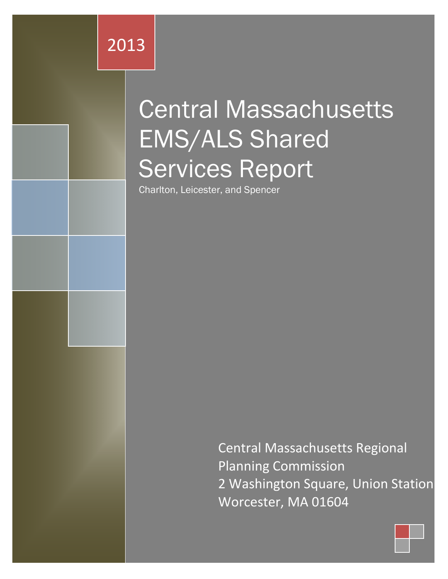2013

# Central Massachusetts EMS/ALS Shared Services Report

Charlton, Leicester, and Spencer

Central Massachusetts Regional Planning Commission 2 Washington Square, Union Station Worcester, MA 01604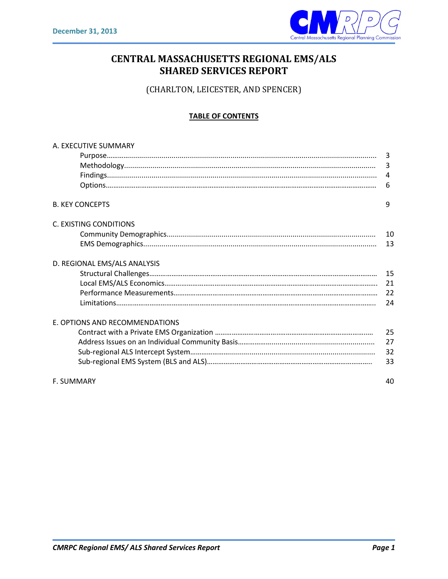

## **CENTRAL MASSACHUSETTS REGIONAL EMS/ALS SHARED SERVICES REPORT**

(CHARLTON, LEICESTER, AND SPENCER)

#### **TABLE OF CONTENTS**

| A. EXECUTIVE SUMMARY           |                |
|--------------------------------|----------------|
|                                |                |
|                                | 3              |
|                                | $\overline{4}$ |
|                                | 6              |
| <b>B. KEY CONCEPTS</b>         | 9              |
| C. EXISTING CONDITIONS         |                |
|                                |                |
|                                | 13             |
| D. REGIONAL EMS/ALS ANALYSIS   |                |
|                                |                |
|                                |                |
|                                |                |
|                                | 24             |
| E. OPTIONS AND RECOMMENDATIONS |                |
|                                | 25             |
|                                | 27             |
|                                | 32             |
|                                | 33             |
| <b>F. SUMMARY</b>              | 40             |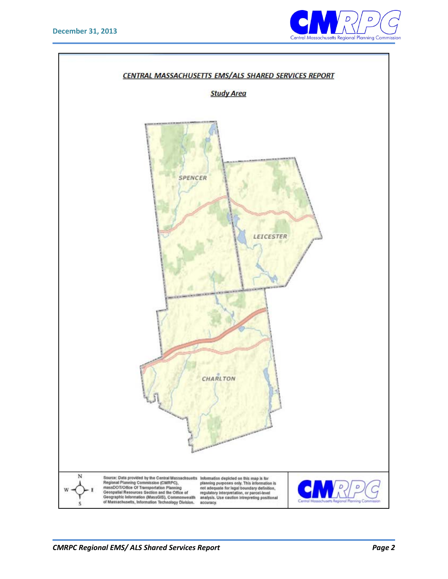

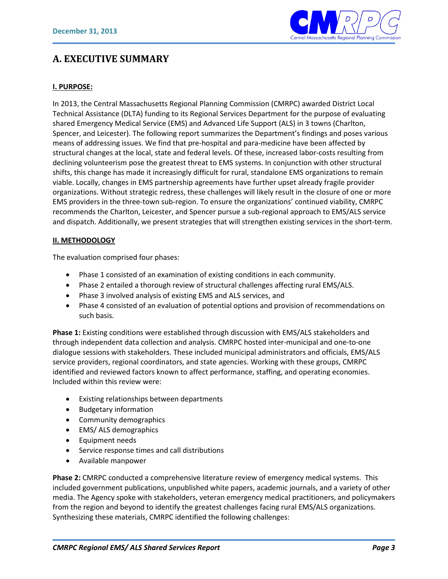

## **A. EXECUTIVE SUMMARY**

#### **I. PURPOSE:**

In 2013, the Central Massachusetts Regional Planning Commission (CMRPC) awarded District Local Technical Assistance (DLTA) funding to its Regional Services Department for the purpose of evaluating shared Emergency Medical Service (EMS) and Advanced Life Support (ALS) in 3 towns (Charlton, Spencer, and Leicester). The following report summarizes the Department's findings and poses various means of addressing issues. We find that pre-hospital and para-medicine have been affected by structural changes at the local, state and federal levels. Of these, increased labor-costs resulting from declining volunteerism pose the greatest threat to EMS systems. In conjunction with other structural shifts, this change has made it increasingly difficult for rural, standalone EMS organizations to remain viable. Locally, changes in EMS partnership agreements have further upset already fragile provider organizations. Without strategic redress, these challenges will likely result in the closure of one or more EMS providers in the three-town sub-region. To ensure the organizations' continued viability, CMRPC recommends the Charlton, Leicester, and Spencer pursue a sub-regional approach to EMS/ALS service and dispatch. Additionally, we present strategies that will strengthen existing services in the short-term.

#### **II. METHODOLOGY**

The evaluation comprised four phases:

- Phase 1 consisted of an examination of existing conditions in each community.
- Phase 2 entailed a thorough review of structural challenges affecting rural EMS/ALS.
- Phase 3 involved analysis of existing EMS and ALS services, and
- Phase 4 consisted of an evaluation of potential options and provision of recommendations on such basis.

**Phase 1:** Existing conditions were established through discussion with EMS/ALS stakeholders and through independent data collection and analysis. CMRPC hosted inter-municipal and one-to-one dialogue sessions with stakeholders. These included municipal administrators and officials, EMS/ALS service providers, regional coordinators, and state agencies. Working with these groups, CMRPC identified and reviewed factors known to affect performance, staffing, and operating economies. Included within this review were:

- Existing relationships between departments
- Budgetary information
- Community demographics
- EMS/ ALS demographics
- Equipment needs
- Service response times and call distributions
- Available manpower

**Phase 2:** CMRPC conducted a comprehensive literature review of emergency medical systems. This included government publications, unpublished white papers, academic journals, and a variety of other media. The Agency spoke with stakeholders, veteran emergency medical practitioners, and policymakers from the region and beyond to identify the greatest challenges facing rural EMS/ALS organizations. Synthesizing these materials, CMRPC identified the following challenges: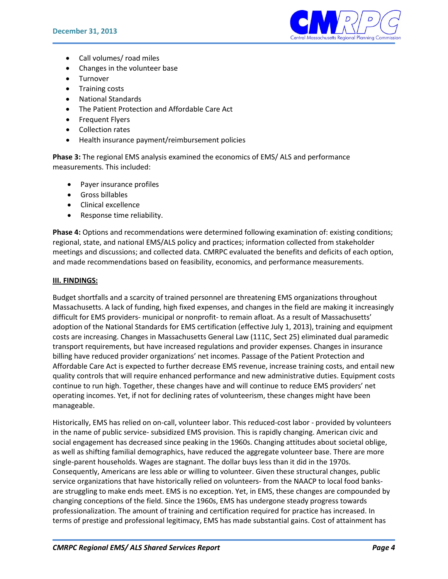

- Call volumes/ road miles
- Changes in the volunteer base
- Turnover
- Training costs
- National Standards
- The Patient Protection and Affordable Care Act
- Frequent Flyers
- Collection rates
- Health insurance payment/reimbursement policies

**Phase 3:** The regional EMS analysis examined the economics of EMS/ ALS and performance measurements. This included:

- Payer insurance profiles
- Gross billables
- Clinical excellence
- Response time reliability.

**Phase 4:** Options and recommendations were determined following examination of: existing conditions; regional, state, and national EMS/ALS policy and practices; information collected from stakeholder meetings and discussions; and collected data. CMRPC evaluated the benefits and deficits of each option, and made recommendations based on feasibility, economics, and performance measurements.

#### **III. FINDINGS:**

Budget shortfalls and a scarcity of trained personnel are threatening EMS organizations throughout Massachusetts. A lack of funding, high fixed expenses, and changes in the field are making it increasingly difficult for EMS providers- municipal or nonprofit- to remain afloat. As a result of Massachusetts' adoption of the National Standards for EMS certification (effective July 1, 2013), training and equipment costs are increasing. Changes in Massachusetts General Law (111C, Sect 25) eliminated dual paramedic transport requirements, but have increased regulations and provider expenses. Changes in insurance billing have reduced provider organizations' net incomes. Passage of the Patient Protection and Affordable Care Act is expected to further decrease EMS revenue, increase training costs, and entail new quality controls that will require enhanced performance and new administrative duties. Equipment costs continue to run high. Together, these changes have and will continue to reduce EMS providers' net operating incomes. Yet, if not for declining rates of volunteerism, these changes might have been manageable.

Historically, EMS has relied on on-call, volunteer labor. This reduced-cost labor - provided by volunteers in the name of public service- subsidized EMS provision. This is rapidly changing. American civic and social engagement has decreased since peaking in the 1960s. Changing attitudes about societal oblige, as well as shifting familial demographics, have reduced the aggregate volunteer base. There are more single-parent households. Wages are stagnant. The dollar buys less than it did in the 1970s. Consequently, Americans are less able or willing to volunteer. Given these structural changes, public service organizations that have historically relied on volunteers- from the NAACP to local food banksare struggling to make ends meet. EMS is no exception. Yet, in EMS, these changes are compounded by changing conceptions of the field. Since the 1960s, EMS has undergone steady progress towards professionalization. The amount of training and certification required for practice has increased. In terms of prestige and professional legitimacy, EMS has made substantial gains. Cost of attainment has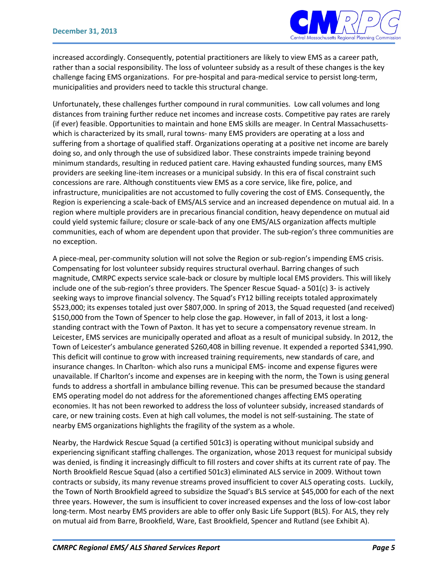

increased accordingly. Consequently, potential practitioners are likely to view EMS as a career path, rather than a social responsibility. The loss of volunteer subsidy as a result of these changes is the key challenge facing EMS organizations. For pre-hospital and para-medical service to persist long-term, municipalities and providers need to tackle this structural change.

Unfortunately, these challenges further compound in rural communities. Low call volumes and long distances from training further reduce net incomes and increase costs. Competitive pay rates are rarely (if ever) feasible. Opportunities to maintain and hone EMS skills are meager. In Central Massachusettswhich is characterized by its small, rural towns- many EMS providers are operating at a loss and suffering from a shortage of qualified staff. Organizations operating at a positive net income are barely doing so, and only through the use of subsidized labor. These constraints impede training beyond minimum standards, resulting in reduced patient care. Having exhausted funding sources, many EMS providers are seeking line-item increases or a municipal subsidy. In this era of fiscal constraint such concessions are rare. Although constituents view EMS as a core service, like fire, police, and infrastructure, municipalities are not accustomed to fully covering the cost of EMS. Consequently, the Region is experiencing a scale-back of EMS/ALS service and an increased dependence on mutual aid. In a region where multiple providers are in precarious financial condition, heavy dependence on mutual aid could yield systemic failure; closure or scale-back of any one EMS/ALS organization affects multiple communities, each of whom are dependent upon that provider. The sub-region's three communities are no exception.

A piece-meal, per-community solution will not solve the Region or sub-region's impending EMS crisis. Compensating for lost volunteer subsidy requires structural overhaul. Barring changes of such magnitude, CMRPC expects service scale-back or closure by multiple local EMS providers. This will likely include one of the sub-region's three providers. The Spencer Rescue Squad- a 501(c) 3- is actively seeking ways to improve financial solvency. The Squad's FY12 billing receipts totaled approximately \$523,000; its expenses totaled just over \$807,000. In spring of 2013, the Squad requested (and received) \$150,000 from the Town of Spencer to help close the gap. However, in fall of 2013, it lost a longstanding contract with the Town of Paxton. It has yet to secure a compensatory revenue stream. In Leicester, EMS services are municipally operated and afloat as a result of municipal subsidy. In 2012, the Town of Leicester's ambulance generated \$260,408 in billing revenue. It expended a reported \$341,990. This deficit will continue to grow with increased training requirements, new standards of care, and insurance changes. In Charlton- which also runs a municipal EMS- income and expense figures were unavailable. If Charlton's income and expenses are in keeping with the norm, the Town is using general funds to address a shortfall in ambulance billing revenue. This can be presumed because the standard EMS operating model do not address for the aforementioned changes affecting EMS operating economies. It has not been reworked to address the loss of volunteer subsidy, increased standards of care, or new training costs. Even at high call volumes, the model is not self-sustaining. The state of nearby EMS organizations highlights the fragility of the system as a whole.

Nearby, the Hardwick Rescue Squad (a certified 501c3) is operating without municipal subsidy and experiencing significant staffing challenges. The organization, whose 2013 request for municipal subsidy was denied, is finding it increasingly difficult to fill rosters and cover shifts at its current rate of pay. The North Brookfield Rescue Squad (also a certified 501c3) eliminated ALS service in 2009. Without town contracts or subsidy, its many revenue streams proved insufficient to cover ALS operating costs. Luckily, the Town of North Brookfield agreed to subsidize the Squad's BLS service at \$45,000 for each of the next three years. However, the sum is insufficient to cover increased expenses and the loss of low-cost labor long-term. Most nearby EMS providers are able to offer only Basic Life Support (BLS). For ALS, they rely on mutual aid from Barre, Brookfield, Ware, East Brookfield, Spencer and Rutland (see Exhibit A).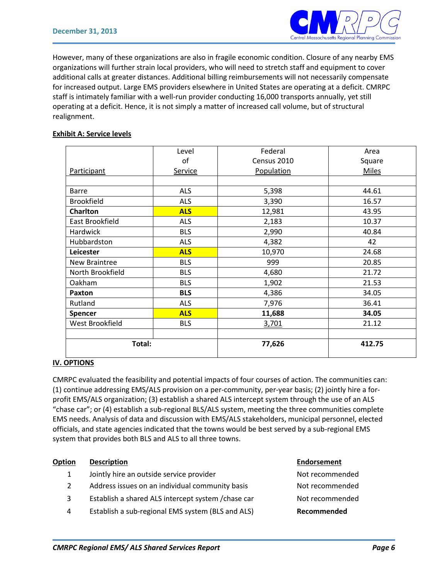

However, many of these organizations are also in fragile economic condition. Closure of any nearby EMS organizations will further strain local providers, who will need to stretch staff and equipment to cover additional calls at greater distances. Additional billing reimbursements will not necessarily compensate for increased output. Large EMS providers elsewhere in United States are operating at a deficit. CMRPC staff is intimately familiar with a well-run provider conducting 16,000 transports annually, yet still operating at a deficit. Hence, it is not simply a matter of increased call volume, but of structural realignment.

#### **Exhibit A: Service levels**

|                   | Level          | Federal     | Area         |
|-------------------|----------------|-------------|--------------|
|                   | of             | Census 2010 | Square       |
| Participant       | <b>Service</b> | Population  | <b>Miles</b> |
|                   |                |             |              |
| <b>Barre</b>      | <b>ALS</b>     | 5,398       | 44.61        |
| <b>Brookfield</b> | <b>ALS</b>     | 3,390       | 16.57        |
| <b>Charlton</b>   | <b>ALS</b>     | 12,981      | 43.95        |
| East Brookfield   | <b>ALS</b>     | 2,183       | 10.37        |
| <b>Hardwick</b>   | <b>BLS</b>     | 2,990       | 40.84        |
| Hubbardston       | <b>ALS</b>     | 4,382       | 42           |
| Leicester         | <b>ALS</b>     | 10,970      | 24.68        |
| New Braintree     | <b>BLS</b>     | 999         | 20.85        |
| North Brookfield  | <b>BLS</b>     | 4,680       | 21.72        |
| Oakham            | <b>BLS</b>     | 1,902       | 21.53        |
| Paxton            | <b>BLS</b>     | 4,386       | 34.05        |
| Rutland           | <b>ALS</b>     | 7,976       | 36.41        |
| <b>Spencer</b>    | <b>ALS</b>     | 11,688      | 34.05        |
| West Brookfield   | <b>BLS</b>     | 3,701       | 21.12        |
|                   |                |             |              |
| Total:            |                | 77,626      | 412.75       |

#### **IV. OPTIONS**

CMRPC evaluated the feasibility and potential impacts of four courses of action. The communities can: (1) continue addressing EMS/ALS provision on a per-community, per-year basis; (2) jointly hire a forprofit EMS/ALS organization; (3) establish a shared ALS intercept system through the use of an ALS "chase car"; or (4) establish a sub-regional BLS/ALS system, meeting the three communities complete EMS needs. Analysis of data and discussion with EMS/ALS stakeholders, municipal personnel, elected officials, and state agencies indicated that the towns would be best served by a sub-regional EMS system that provides both BLS and ALS to all three towns.

| <b>Option</b> | <b>Description</b>                                  | <b>Endorsement</b> |
|---------------|-----------------------------------------------------|--------------------|
| $\mathbf{1}$  | Jointly hire an outside service provider            | Not recommended    |
| 2             | Address issues on an individual community basis     | Not recommended    |
| 3             | Establish a shared ALS intercept system / chase car | Not recommended    |
| 4             | Establish a sub-regional EMS system (BLS and ALS)   | Recommended        |

| Recommended     |
|-----------------|
| Not recommended |
| Not recommended |
| Not recommended |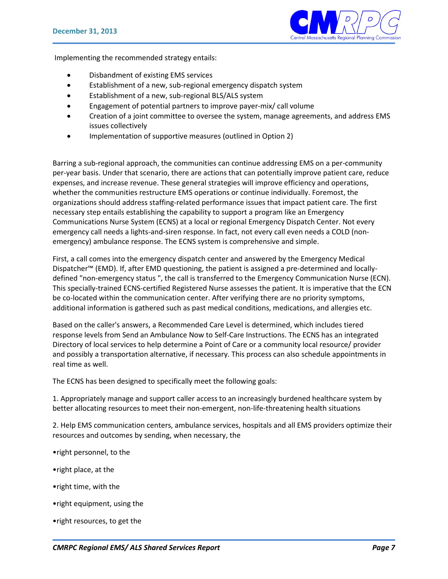

Implementing the recommended strategy entails:

- Disbandment of existing EMS services
- Establishment of a new, sub-regional emergency dispatch system
- Establishment of a new, sub-regional BLS/ALS system
- Engagement of potential partners to improve payer-mix/ call volume
- Creation of a joint committee to oversee the system, manage agreements, and address EMS issues collectively
- Implementation of supportive measures (outlined in Option 2)

Barring a sub-regional approach, the communities can continue addressing EMS on a per-community per-year basis. Under that scenario, there are actions that can potentially improve patient care, reduce expenses, and increase revenue. These general strategies will improve efficiency and operations, whether the communities restructure EMS operations or continue individually. Foremost, the organizations should address staffing-related performance issues that impact patient care. The first necessary step entails establishing the capability to support a program like an Emergency Communications Nurse System (ECNS) at a local or regional Emergency Dispatch Center. Not every emergency call needs a lights-and-siren response. In fact, not every call even needs a COLD (nonemergency) ambulance response. The ECNS system is comprehensive and simple.

First, a call comes into the emergency dispatch center and answered by the Emergency Medical Dispatcher™ (EMD). If, after EMD questioning, the patient is assigned a pre-determined and locallydefined "non-emergency status ", the call is transferred to the Emergency Communication Nurse (ECN). This specially-trained ECNS-certified Registered Nurse assesses the patient. It is imperative that the ECN be co-located within the communication center. After verifying there are no priority symptoms, additional information is gathered such as past medical conditions, medications, and allergies etc.

Based on the caller's answers, a Recommended Care Level is determined, which includes tiered response levels from Send an Ambulance Now to Self-Care Instructions. The ECNS has an integrated Directory of local services to help determine a Point of Care or a community local resource/ provider and possibly a transportation alternative, if necessary. This process can also schedule appointments in real time as well.

The ECNS has been designed to specifically meet the following goals:

1. Appropriately manage and support caller access to an increasingly burdened healthcare system by better allocating resources to meet their non-emergent, non-life-threatening health situations

2. Help EMS communication centers, ambulance services, hospitals and all EMS providers optimize their resources and outcomes by sending, when necessary, the

- •right personnel, to the
- •right place, at the
- •right time, with the
- •right equipment, using the
- •right resources, to get the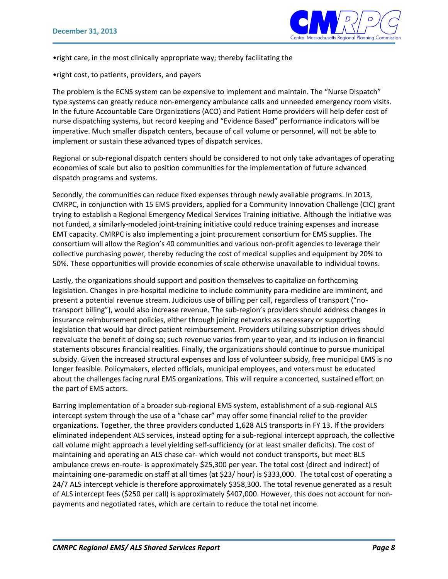

•right care, in the most clinically appropriate way; thereby facilitating the

•right cost, to patients, providers, and payers

The problem is the ECNS system can be expensive to implement and maintain. The "Nurse Dispatch" type systems can greatly reduce non-emergency ambulance calls and unneeded emergency room visits. In the future Accountable Care Organizations (ACO) and Patient Home providers will help defer cost of nurse dispatching systems, but record keeping and "Evidence Based" performance indicators will be imperative. Much smaller dispatch centers, because of call volume or personnel, will not be able to implement or sustain these advanced types of dispatch services.

Regional or sub-regional dispatch centers should be considered to not only take advantages of operating economies of scale but also to position communities for the implementation of future advanced dispatch programs and systems.

Secondly, the communities can reduce fixed expenses through newly available programs. In 2013, CMRPC, in conjunction with 15 EMS providers, applied for a Community Innovation Challenge (CIC) grant trying to establish a Regional Emergency Medical Services Training initiative. Although the initiative was not funded, a similarly-modeled joint-training initiative could reduce training expenses and increase EMT capacity. CMRPC is also implementing a joint procurement consortium for EMS supplies. The consortium will allow the Region's 40 communities and various non-profit agencies to leverage their collective purchasing power, thereby reducing the cost of medical supplies and equipment by 20% to 50%. These opportunities will provide economies of scale otherwise unavailable to individual towns.

Lastly, the organizations should support and position themselves to capitalize on forthcoming legislation. Changes in pre-hospital medicine to include community para-medicine are imminent, and present a potential revenue stream. Judicious use of billing per call, regardless of transport ("notransport billing"), would also increase revenue. The sub-region's providers should address changes in insurance reimbursement policies, either through joining networks as necessary or supporting legislation that would bar direct patient reimbursement. Providers utilizing subscription drives should reevaluate the benefit of doing so; such revenue varies from year to year, and its inclusion in financial statements obscures financial realities. Finally, the organizations should continue to pursue municipal subsidy. Given the increased structural expenses and loss of volunteer subsidy, free municipal EMS is no longer feasible. Policymakers, elected officials, municipal employees, and voters must be educated about the challenges facing rural EMS organizations. This will require a concerted, sustained effort on the part of EMS actors.

Barring implementation of a broader sub-regional EMS system, establishment of a sub-regional ALS intercept system through the use of a "chase car" may offer some financial relief to the provider organizations. Together, the three providers conducted 1,628 ALS transports in FY 13. If the providers eliminated independent ALS services, instead opting for a sub-regional intercept approach, the collective call volume might approach a level yielding self-sufficiency (or at least smaller deficits). The cost of maintaining and operating an ALS chase car- which would not conduct transports, but meet BLS ambulance crews en-route- is approximately \$25,300 per year. The total cost (direct and indirect) of maintaining one-paramedic on staff at all times (at \$23/ hour) is \$333,000. The total cost of operating a 24/7 ALS intercept vehicle is therefore approximately \$358,300. The total revenue generated as a result of ALS intercept fees (\$250 per call) is approximately \$407,000. However, this does not account for nonpayments and negotiated rates, which are certain to reduce the total net income.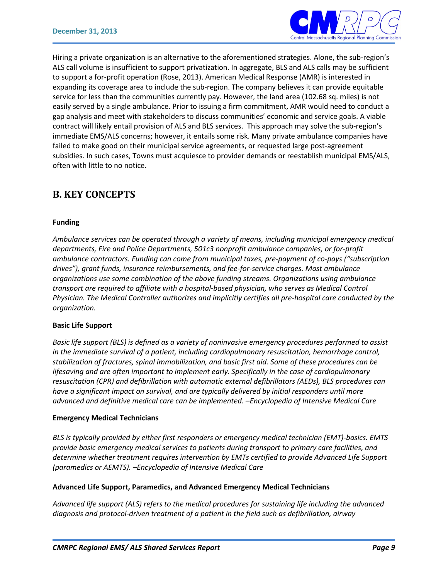

Hiring a private organization is an alternative to the aforementioned strategies. Alone, the sub-region's ALS call volume is insufficient to support privatization. In aggregate, BLS and ALS calls may be sufficient to support a for-profit operation (Rose, 2013). American Medical Response (AMR) is interested in expanding its coverage area to include the sub-region. The company believes it can provide equitable service for less than the communities currently pay. However, the land area (102.68 sq. miles) is not easily served by a single ambulance. Prior to issuing a firm commitment, AMR would need to conduct a gap analysis and meet with stakeholders to discuss communities' economic and service goals. A viable contract will likely entail provision of ALS and BLS services. This approach may solve the sub-region's immediate EMS/ALS concerns; however, it entails some risk. Many private ambulance companies have failed to make good on their municipal service agreements, or requested large post-agreement subsidies. In such cases, Towns must acquiesce to provider demands or reestablish municipal EMS/ALS, often with little to no notice.

## **B. KEY CONCEPTS**

#### **Funding**

*Ambulance services can be operated through a variety of means, including municipal emergency medical departments, Fire and Police Departments, 501c3 nonprofit ambulance companies, or for-profit ambulance contractors. Funding can come from municipal taxes, pre-payment of co-pays ("subscription drives"), grant funds, insurance reimbursements, and fee-for-service charges. Most ambulance organizations use some combination of the above funding streams. Organizations using ambulance transport are required to affiliate with a hospital-based physician, who serves as Medical Control Physician. The Medical Controller authorizes and implicitly certifies all pre-hospital care conducted by the organization.* 

#### **Basic Life Support**

*Basic life support (BLS) is defined as a variety of noninvasive emergency procedures performed to assist in the immediate survival of a patient, including cardiopulmonary resuscitation, hemorrhage control, stabilization of fractures, spinal immobilization, and basic first aid. Some of these procedures can be lifesaving and are often important to implement early. Specifically in the case of cardiopulmonary resuscitation (CPR) and defibrillation with automatic external defibrillators (AEDs), BLS procedures can have a significant impact on survival, and are typically delivered by initial responders until more advanced and definitive medical care can be implemented. –Encyclopedia of Intensive Medical Care*

#### **Emergency Medical Technicians**

*BLS is typically provided by either first responders or emergency medical technician (EMT)-basics. EMTS provide basic emergency medical services to patients during transport to primary care facilities, and determine whether treatment requires intervention by EMTs certified to provide Advanced Life Support (paramedics or AEMTS). –Encyclopedia of Intensive Medical Care*

#### **Advanced Life Support, Paramedics, and Advanced Emergency Medical Technicians**

*Advanced life support (ALS) refers to the medical procedures for sustaining life including the advanced diagnosis and protocol-driven treatment of a patient in the field such as defibrillation, airway*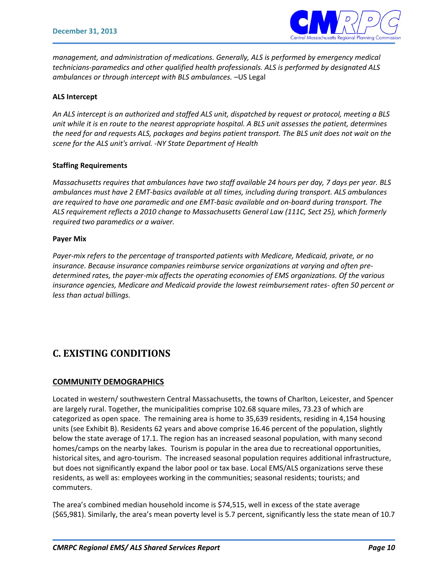

*management, and administration of medications. Generally, ALS is performed by emergency medical technicians-paramedics and other qualified health professionals. ALS is performed by designated ALS ambulances or through intercept with BLS ambulances.* –US Legal

#### **ALS Intercept**

*An ALS intercept is an authorized and staffed ALS unit, dispatched by request or protocol, meeting a BLS unit while it is en route to the nearest appropriate hospital. A BLS unit assesses the patient, determines the need for and requests ALS, packages and begins patient transport. The BLS unit does not wait on the scene for the ALS unit's arrival. -NY State Department of Health*

#### **Staffing Requirements**

*Massachusetts requires that ambulances have two staff available 24 hours per day, 7 days per year. BLS ambulances must have 2 EMT-basics available at all times, including during transport. ALS ambulances are required to have one paramedic and one EMT-basic available and on-board during transport. The ALS requirement reflects a 2010 change to Massachusetts General Law (111C, Sect 25), which formerly required two paramedics or a waiver.* 

#### **Payer Mix**

*Payer-mix refers to the percentage of transported patients with Medicare, Medicaid, private, or no insurance. Because insurance companies reimburse service organizations at varying and often predetermined rates, the payer-mix affects the operating economies of EMS organizations. Of the various insurance agencies, Medicare and Medicaid provide the lowest reimbursement rates- often 50 percent or less than actual billings.* 

## **C. EXISTING CONDITIONS**

#### **COMMUNITY DEMOGRAPHICS**

Located in western/ southwestern Central Massachusetts, the towns of Charlton, Leicester, and Spencer are largely rural. Together, the municipalities comprise 102.68 square miles, 73.23 of which are categorized as open space. The remaining area is home to 35,639 residents, residing in 4,154 housing units (see Exhibit B). Residents 62 years and above comprise 16.46 percent of the population, slightly below the state average of 17.1. The region has an increased seasonal population, with many second homes/camps on the nearby lakes. Tourism is popular in the area due to recreational opportunities, historical sites, and agro-tourism. The increased seasonal population requires additional infrastructure, but does not significantly expand the labor pool or tax base. Local EMS/ALS organizations serve these residents, as well as: employees working in the communities; seasonal residents; tourists; and commuters.

The area's combined median household income is \$74,515, well in excess of the state average (\$65,981). Similarly, the area's mean poverty level is 5.7 percent, significantly less the state mean of 10.7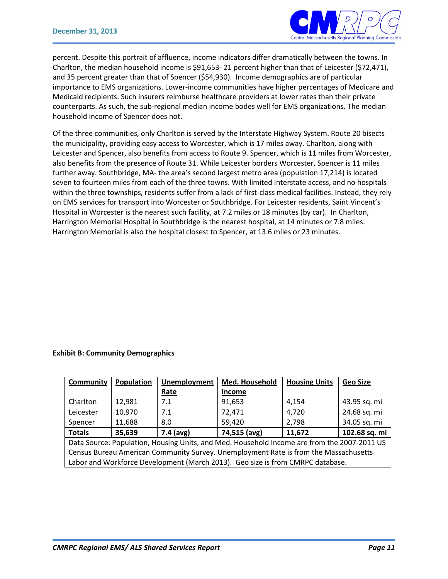

percent. Despite this portrait of affluence, income indicators differ dramatically between the towns. In Charlton, the median household income is \$91,653- 21 percent higher than that of Leicester (\$72,471), and 35 percent greater than that of Spencer (\$54,930). Income demographics are of particular importance to EMS organizations. Lower-income communities have higher percentages of Medicare and Medicaid recipients. Such insurers reimburse healthcare providers at lower rates than their private counterparts. As such, the sub-regional median income bodes well for EMS organizations. The median household income of Spencer does not.

Of the three communities, only Charlton is served by the Interstate Highway System. Route 20 bisects the municipality, providing easy access to Worcester, which is 17 miles away. Charlton, along with Leicester and Spencer, also benefits from access to Route 9. Spencer, which is 11 miles from Worcester, also benefits from the presence of Route 31. While Leicester borders Worcester, Spencer is 11 miles further away. Southbridge, MA- the area's second largest metro area (population 17,214) is located seven to fourteen miles from each of the three towns. With limited Interstate access, and no hospitals within the three townships, residents suffer from a lack of first-class medical facilities. Instead, they rely on EMS services for transport into Worcester or Southbridge. For Leicester residents, Saint Vincent's Hospital in Worcester is the nearest such facility, at 7.2 miles or 18 minutes (by car). In Charlton, Harrington Memorial Hospital in Southbridge is the nearest hospital, at 14 minutes or 7.8 miles. Harrington Memorial is also the hospital closest to Spencer, at 13.6 miles or 23 minutes.

#### **Exhibit B: Community Demographics**

| <b>Community</b>                                                                            | <b>Population</b> | <b>Unemployment</b> | Med. Household                                                                 | <b>Housing Units</b> | <b>Geo Size</b> |
|---------------------------------------------------------------------------------------------|-------------------|---------------------|--------------------------------------------------------------------------------|----------------------|-----------------|
|                                                                                             |                   | Rate                | <b>Income</b>                                                                  |                      |                 |
| Charlton                                                                                    | 12,981            | 7.1                 | 91,653                                                                         | 4,154                | 43.95 sq. mi    |
| Leicester                                                                                   | 10,970            | 7.1                 | 72,471                                                                         | 4,720                | 24.68 sq. mi    |
| Spencer                                                                                     | 11,688            | 8.0                 | 59,420                                                                         | 2,798                | 34.05 sq. mi    |
| <b>Totals</b>                                                                               | 35,639            | $7.4$ (avg)         | 74,515 (avg)                                                                   | 11,672               | 102.68 sq. mi   |
| Data Source: Population, Housing Units, and Med. Household Income are from the 2007-2011 US |                   |                     |                                                                                |                      |                 |
| Census Bureau American Community Survey. Unemployment Rate is from the Massachusetts        |                   |                     |                                                                                |                      |                 |
|                                                                                             |                   |                     | Labor and Workforce Development (March 2013). Geo size is from CMRPC database. |                      |                 |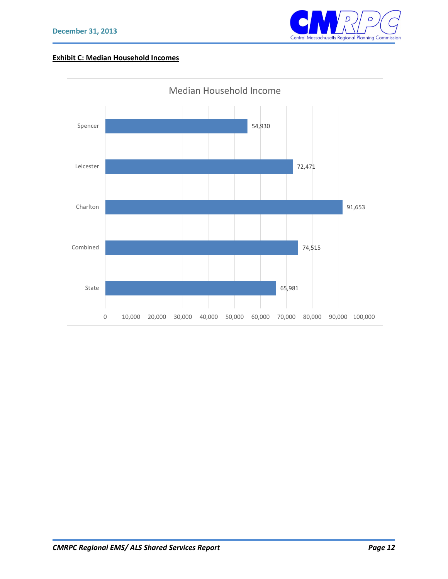

### **Exhibit C: Median Household Incomes**

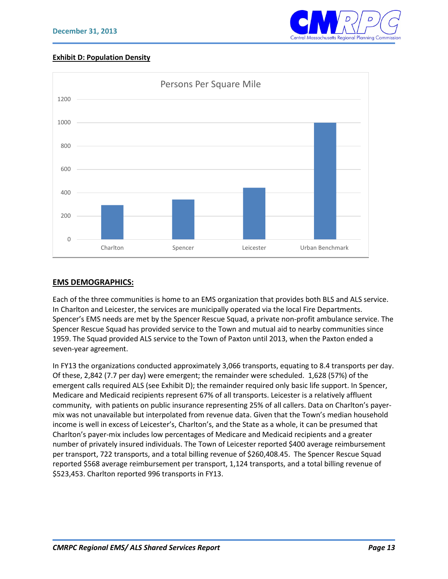

#### **Exhibit D: Population Density**



#### **EMS DEMOGRAPHICS:**

Each of the three communities is home to an EMS organization that provides both BLS and ALS service. In Charlton and Leicester, the services are municipally operated via the local Fire Departments. Spencer's EMS needs are met by the Spencer Rescue Squad, a private non-profit ambulance service. The Spencer Rescue Squad has provided service to the Town and mutual aid to nearby communities since 1959. The Squad provided ALS service to the Town of Paxton until 2013, when the Paxton ended a seven-year agreement.

In FY13 the organizations conducted approximately 3,066 transports, equating to 8.4 transports per day. Of these, 2,842 (7.7 per day) were emergent; the remainder were scheduled. 1,628 (57%) of the emergent calls required ALS (see Exhibit D); the remainder required only basic life support. In Spencer, Medicare and Medicaid recipients represent 67% of all transports. Leicester is a relatively affluent community, with patients on public insurance representing 25% of all callers. Data on Charlton's payermix was not unavailable but interpolated from revenue data. Given that the Town's median household income is well in excess of Leicester's, Charlton's, and the State as a whole, it can be presumed that Charlton's payer-mix includes low percentages of Medicare and Medicaid recipients and a greater number of privately insured individuals. The Town of Leicester reported \$400 average reimbursement per transport, 722 transports, and a total billing revenue of \$260,408.45. The Spencer Rescue Squad reported \$568 average reimbursement per transport, 1,124 transports, and a total billing revenue of \$523,453. Charlton reported 996 transports in FY13.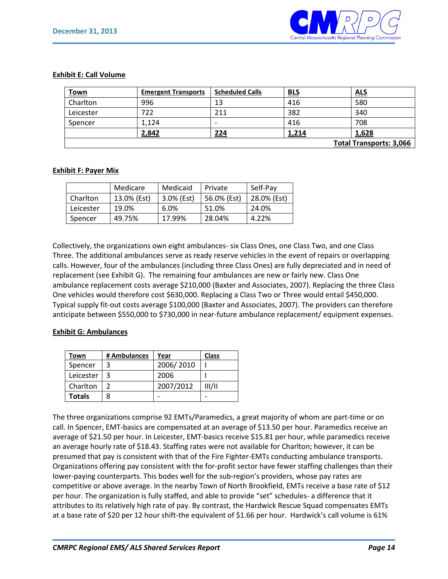

#### **Exhibit E: Call Volume**

| <u>Town</u>                    | <b>Emergent Transports</b> | <b>Scheduled Calls</b>   | <b>BLS</b> | <b>ALS</b> |
|--------------------------------|----------------------------|--------------------------|------------|------------|
| Charlton                       | 996                        | 13                       | 416        | 580        |
| Leicester                      | 722                        | 211                      | 382        | 340        |
| Spencer                        | 1,124                      | $\overline{\phantom{0}}$ | 416        | 708        |
|                                | 2,842                      | 224                      | 1,214      | 1,628      |
| <b>Total Transports: 3,066</b> |                            |                          |            |            |

#### **Exhibit F: Payer Mix**

|           | Medicare    | Medicaid   | Private     | Self-Pav    |
|-----------|-------------|------------|-------------|-------------|
| Charlton  | 13.0% (Est) | 3.0% (Est) | 56.0% (Est) | 28.0% (Est) |
| Leicester | 19.0%       | $6.0\%$    | 51.0%       | 24.0%       |
| Spencer   | 49.75%      | 17.99%     | 28.04%      | 4.22%       |

Collectively, the organizations own eight ambulances- six Class Ones, one Class Two, and one Class Three. The additional ambulances serve as ready reserve vehicles in the event of repairs or overlapping calls. However, four of the ambulances (including three Class Ones) are fully depreciated and in need of replacement (see Exhibit G). The remaining four ambulances are new or fairly new. Class One ambulance replacement costs average \$210,000 (Baxter and Associates, 2007). Replacing the three Class One vehicles would therefore cost \$630,000. Replacing a Class Two or Three would entail \$450,000. Typical supply fit-out costs average \$100,000 (Baxter and Associates, 2007). The providers can therefore anticipate between \$550,000 to \$730,000 in near-future ambulance replacement/ equipment expenses.

#### **Exhibit G: Ambulances**

| Town          | # Ambulances | Year      | <b>Class</b> |
|---------------|--------------|-----------|--------------|
| Spencer       | 3            | 2006/2010 |              |
| Leicester     |              | 2006      |              |
| Charlton      |              | 2007/2012 | III/II       |
| <b>Totals</b> | ጸ            |           |              |

The three organizations comprise 92 EMTs/Paramedics, a great majority of whom are part-time or on call. In Spencer, EMT-basics are compensated at an average of \$13.50 per hour. Paramedics receive an average of \$21.50 per hour. In Leicester, EMT-basics receive \$15.81 per hour, while paramedics receive an average hourly rate of \$18.43. Staffing rates were not available for Charlton; however, it can be presumed that pay is consistent with that of the Fire Fighter-EMTs conducting ambulance transports. Organizations offering pay consistent with the for-profit sector have fewer staffing challenges than their lower-paying counterparts. This bodes well for the sub-region's providers, whose pay rates are competitive or above average. In the nearby Town of North Brookfield, EMTs receive a base rate of \$12 per hour. The organization is fully staffed, and able to provide "set" schedules- a difference that it attributes to its relatively high rate of pay. By contrast, the Hardwick Rescue Squad compensates EMTs at a base rate of \$20 per 12 hour shift-the equivalent of \$1.66 per hour. Hardwick's call volume is 61%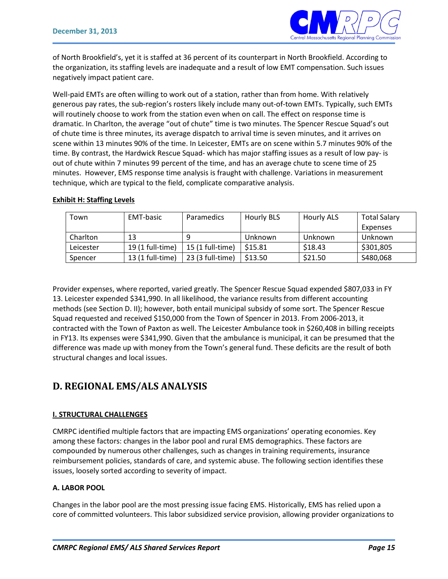

of North Brookfield's, yet it is staffed at 36 percent of its counterpart in North Brookfield. According to the organization, its staffing levels are inadequate and a result of low EMT compensation. Such issues negatively impact patient care.

Well-paid EMTs are often willing to work out of a station, rather than from home. With relatively generous pay rates, the sub-region's rosters likely include many out-of-town EMTs. Typically, such EMTs will routinely choose to work from the station even when on call. The effect on response time is dramatic. In Charlton, the average "out of chute" time is two minutes. The Spencer Rescue Squad's out of chute time is three minutes, its average dispatch to arrival time is seven minutes, and it arrives on scene within 13 minutes 90% of the time. In Leicester, EMTs are on scene within 5.7 minutes 90% of the time. By contrast, the Hardwick Rescue Squad- which has major staffing issues as a result of low pay- is out of chute within 7 minutes 99 percent of the time, and has an average chute to scene time of 25 minutes. However, EMS response time analysis is fraught with challenge. Variations in measurement technique, which are typical to the field, complicate comparative analysis.

|  | <b>Exhibit H: Staffing Levels</b> |  |
|--|-----------------------------------|--|
|  |                                   |  |

| Town      | EMT-basic        | <b>Paramedics</b> | <b>Hourly BLS</b> | Hourly ALS | <b>Total Salary</b> |
|-----------|------------------|-------------------|-------------------|------------|---------------------|
|           |                  |                   |                   |            | Expenses            |
| Charlton  | 13               |                   | Unknown           | Unknown    | Unknown             |
| Leicester | 19 (1 full-time) | 15 (1 full-time)  | \$15.81           | \$18.43    | \$301,805           |
| Spencer   | 13 (1 full-time) | 23 (3 full-time)  | \$13.50           | \$21.50    | S480,068            |

Provider expenses, where reported, varied greatly. The Spencer Rescue Squad expended \$807,033 in FY 13. Leicester expended \$341,990. In all likelihood, the variance results from different accounting methods (see Section D. II); however, both entail municipal subsidy of some sort. The Spencer Rescue Squad requested and received \$150,000 from the Town of Spencer in 2013. From 2006-2013, it contracted with the Town of Paxton as well. The Leicester Ambulance took in \$260,408 in billing receipts in FY13. Its expenses were \$341,990. Given that the ambulance is municipal, it can be presumed that the difference was made up with money from the Town's general fund. These deficits are the result of both structural changes and local issues.

## **D. REGIONAL EMS/ALS ANALYSIS**

#### **I. STRUCTURAL CHALLENGES**

CMRPC identified multiple factors that are impacting EMS organizations' operating economies. Key among these factors: changes in the labor pool and rural EMS demographics. These factors are compounded by numerous other challenges, such as changes in training requirements, insurance reimbursement policies, standards of care, and systemic abuse. The following section identifies these issues, loosely sorted according to severity of impact.

#### **A. LABOR POOL**

Changes in the labor pool are the most pressing issue facing EMS. Historically, EMS has relied upon a core of committed volunteers. This labor subsidized service provision, allowing provider organizations to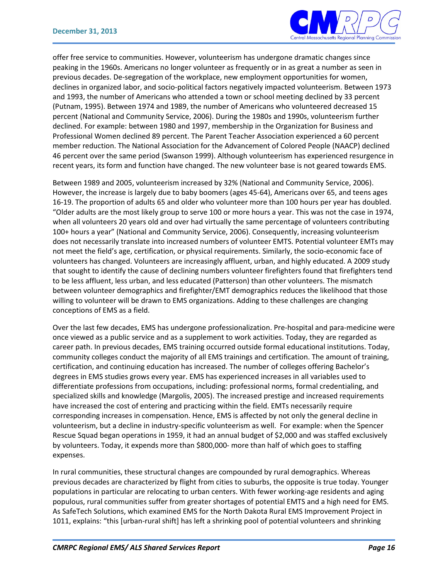

offer free service to communities. However, volunteerism has undergone dramatic changes since peaking in the 1960s. Americans no longer volunteer as frequently or in as great a number as seen in previous decades. De-segregation of the workplace, new employment opportunities for women, declines in organized labor, and socio-political factors negatively impacted volunteerism. Between 1973 and 1993, the number of Americans who attended a town or school meeting declined by 33 percent (Putnam, 1995). Between 1974 and 1989, the number of Americans who volunteered decreased 15 percent (National and Community Service, 2006). During the 1980s and 1990s, volunteerism further declined. For example: between 1980 and 1997, membership in the Organization for Business and Professional Women declined 89 percent. The Parent Teacher Association experienced a 60 percent member reduction. The National Association for the Advancement of Colored People (NAACP) declined 46 percent over the same period (Swanson 1999). Although volunteerism has experienced resurgence in recent years, its form and function have changed. The new volunteer base is not geared towards EMS.

Between 1989 and 2005, volunteerism increased by 32% (National and Community Service, 2006). However, the increase is largely due to baby boomers (ages 45-64), Americans over 65, and teens ages 16-19. The proportion of adults 65 and older who volunteer more than 100 hours per year has doubled. "Older adults are the most likely group to serve 100 or more hours a year. This was not the case in 1974, when all volunteers 20 years old and over had virtually the same percentage of volunteers contributing 100+ hours a year" (National and Community Service, 2006). Consequently, increasing volunteerism does not necessarily translate into increased numbers of volunteer EMTS. Potential volunteer EMTs may not meet the field's age, certification, or physical requirements. Similarly, the socio-economic face of volunteers has changed. Volunteers are increasingly affluent, urban, and highly educated. A 2009 study that sought to identify the cause of declining numbers volunteer firefighters found that firefighters tend to be less affluent, less urban, and less educated (Patterson) than other volunteers. The mismatch between volunteer demographics and firefighter/EMT demographics reduces the likelihood that those willing to volunteer will be drawn to EMS organizations. Adding to these challenges are changing conceptions of EMS as a field.

Over the last few decades, EMS has undergone professionalization. Pre-hospital and para-medicine were once viewed as a public service and as a supplement to work activities. Today, they are regarded as career path. In previous decades, EMS training occurred outside formal educational institutions. Today, community colleges conduct the majority of all EMS trainings and certification. The amount of training, certification, and continuing education has increased. The number of colleges offering Bachelor's degrees in EMS studies grows every year. EMS has experienced increases in all variables used to differentiate professions from occupations, including: professional norms, formal credentialing, and specialized skills and knowledge (Margolis, 2005). The increased prestige and increased requirements have increased the cost of entering and practicing within the field. EMTs necessarily require corresponding increases in compensation. Hence, EMS is affected by not only the general decline in volunteerism, but a decline in industry-specific volunteerism as well. For example: when the Spencer Rescue Squad began operations in 1959, it had an annual budget of \$2,000 and was staffed exclusively by volunteers. Today, it expends more than \$800,000- more than half of which goes to staffing expenses.

In rural communities, these structural changes are compounded by rural demographics. Whereas previous decades are characterized by flight from cities to suburbs, the opposite is true today. Younger populations in particular are relocating to urban centers. With fewer working-age residents and aging populous, rural communities suffer from greater shortages of potential EMTS and a high need for EMS. As SafeTech Solutions, which examined EMS for the North Dakota Rural EMS Improvement Project in 1011, explains: "this [urban-rural shift] has left a shrinking pool of potential volunteers and shrinking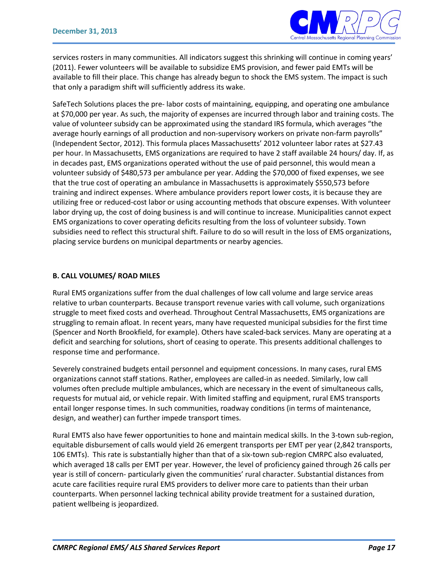

services rosters in many communities. All indicators suggest this shrinking will continue in coming years' (2011). Fewer volunteers will be available to subsidize EMS provision, and fewer paid EMTs will be available to fill their place. This change has already begun to shock the EMS system. The impact is such that only a paradigm shift will sufficiently address its wake.

SafeTech Solutions places the pre- labor costs of maintaining, equipping, and operating one ambulance at \$70,000 per year. As such, the majority of expenses are incurred through labor and training costs. The value of volunteer subsidy can be approximated using the standard IRS formula, which averages "the average hourly earnings of all production and non-supervisory workers on private non-farm payrolls" (Independent Sector, 2012). This formula places Massachusetts' 2012 volunteer labor rates at \$27.43 per hour. In Massachusetts, EMS organizations are required to have 2 staff available 24 hours/ day. If, as in decades past, EMS organizations operated without the use of paid personnel, this would mean a volunteer subsidy of \$480,573 per ambulance per year. Adding the \$70,000 of fixed expenses, we see that the true cost of operating an ambulance in Massachusetts is approximately \$550,573 before training and indirect expenses. Where ambulance providers report lower costs, it is because they are utilizing free or reduced-cost labor or using accounting methods that obscure expenses. With volunteer labor drying up, the cost of doing business is and will continue to increase. Municipalities cannot expect EMS organizations to cover operating deficits resulting from the loss of volunteer subsidy. Town subsidies need to reflect this structural shift. Failure to do so will result in the loss of EMS organizations, placing service burdens on municipal departments or nearby agencies.

#### **B. CALL VOLUMES/ ROAD MILES**

Rural EMS organizations suffer from the dual challenges of low call volume and large service areas relative to urban counterparts. Because transport revenue varies with call volume, such organizations struggle to meet fixed costs and overhead. Throughout Central Massachusetts, EMS organizations are struggling to remain afloat. In recent years, many have requested municipal subsidies for the first time (Spencer and North Brookfield, for example). Others have scaled-back services. Many are operating at a deficit and searching for solutions, short of ceasing to operate. This presents additional challenges to response time and performance.

Severely constrained budgets entail personnel and equipment concessions. In many cases, rural EMS organizations cannot staff stations. Rather, employees are called-in as needed. Similarly, low call volumes often preclude multiple ambulances, which are necessary in the event of simultaneous calls, requests for mutual aid, or vehicle repair. With limited staffing and equipment, rural EMS transports entail longer response times. In such communities, roadway conditions (in terms of maintenance, design, and weather) can further impede transport times.

Rural EMTS also have fewer opportunities to hone and maintain medical skills. In the 3-town sub-region, equitable disbursement of calls would yield 26 emergent transports per EMT per year (2,842 transports, 106 EMTs). This rate is substantially higher than that of a six-town sub-region CMRPC also evaluated, which averaged 18 calls per EMT per year. However, the level of proficiency gained through 26 calls per year is still of concern- particularly given the communities' rural character. Substantial distances from acute care facilities require rural EMS providers to deliver more care to patients than their urban counterparts. When personnel lacking technical ability provide treatment for a sustained duration, patient wellbeing is jeopardized.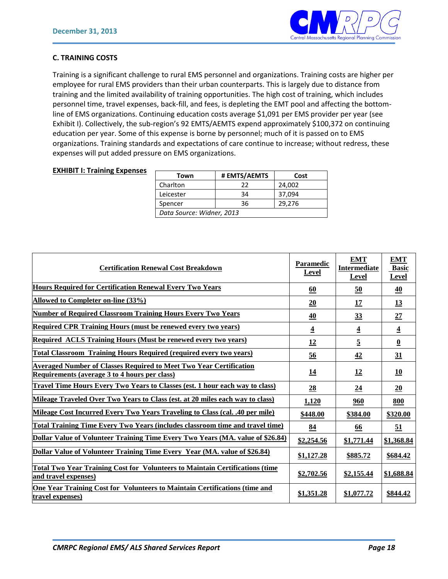

#### **C. TRAINING COSTS**

Training is a significant challenge to rural EMS personnel and organizations. Training costs are higher per employee for rural EMS providers than their urban counterparts. This is largely due to distance from training and the limited availability of training opportunities. The high cost of training, which includes personnel time, travel expenses, back-fill, and fees, is depleting the EMT pool and affecting the bottomline of EMS organizations. Continuing education costs average \$1,091 per EMS provider per year (see Exhibit I). Collectively, the sub-region's 92 EMTS/AEMTS expend approximately \$100,372 on continuing education per year. Some of this expense is borne by personnel; much of it is passed on to EMS organizations. Training standards and expectations of care continue to increase; without redress, these expenses will put added pressure on EMS organizations.

#### **EXHIBIT I: Training Expenses**

| Town                      | # EMTS/AEMTS | Cost   |  |  |  |
|---------------------------|--------------|--------|--|--|--|
| Charlton                  | 22           | 24,002 |  |  |  |
| Leicester                 | 34           | 37,094 |  |  |  |
| Spencer                   | 36           | 29,276 |  |  |  |
| Data Source: Widner, 2013 |              |        |  |  |  |

| <b>Certification Renewal Cost Breakdown</b>                                                                                | <b>Paramedic</b><br>Level | <b>EMT</b><br><b>Intermediate</b><br>Level | <b>EMT</b><br><b>Basic</b><br>Level |
|----------------------------------------------------------------------------------------------------------------------------|---------------------------|--------------------------------------------|-------------------------------------|
| <b>Hours Required for Certification Renewal Every Two Years</b>                                                            | 60                        | 50                                         | 40                                  |
| Allowed to Completer on-line (33%)                                                                                         | 20                        | 17                                         | <u>13</u>                           |
| <b>Number of Required Classroom Training Hours Every Two Years</b>                                                         | 40                        | 33                                         | 27                                  |
| <b>Required CPR Training Hours (must be renewed every two years)</b>                                                       | $\overline{\mathbf{4}}$   | $\overline{4}$                             | $\overline{\mathbf{4}}$             |
| Required ACLS Training Hours (Must be renewed every two years)                                                             | 12                        | $\overline{5}$                             | $\overline{\mathbf{0}}$             |
| <b>Total Classroom Training Hours Required (required every two years)</b>                                                  | $\frac{56}{5}$            | 42                                         | 31                                  |
| <b>Averaged Number of Classes Required to Meet Two Year Certification</b><br>Requirements (average 3 to 4 hours per class) | <u>14</u>                 | <u>12</u>                                  | 10                                  |
| Travel Time Hours Every Two Years to Classes (est. 1 hour each way to class)                                               | 28                        | 24                                         | 20                                  |
| Mileage Traveled Over Two Years to Class (est. at 20 miles each way to class)                                              | 1,120                     | 960                                        | 800                                 |
| Mileage Cost Incurred Every Two Years Traveling to Class (cal. .40 per mile)                                               | \$448.00                  | \$384.00                                   | \$320.00                            |
| <b>Total Training Time Every Two Years (includes classroom time and travel time)</b>                                       | 84                        | 66                                         | $\overline{51}$                     |
| Dollar Value of Volunteer Training Time Every Two Years (MA. value of \$26.84)                                             | \$2,254.56                | \$1,771.44                                 | \$1,368.84                          |
| Dollar Value of Volunteer Training Time Every Year (MA. value of \$26.84)                                                  | \$1,127.28                | \$885.72                                   | \$684.42                            |
| <b>Total Two Year Training Cost for Volunteers to Maintain Certifications (time)</b><br>and travel expenses)               | \$2,702.56                | \$2,155.44                                 | \$1,688.84                          |
| One Year Training Cost for Volunteers to Maintain Certifications (time and<br>travel expenses)                             | \$1,351.28                | \$1,077.72                                 | \$844.42                            |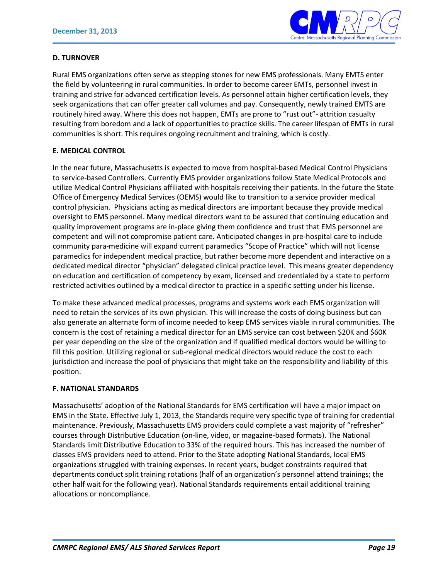

#### **D. TURNOVER**

Rural EMS organizations often serve as stepping stones for new EMS professionals. Many EMTS enter the field by volunteering in rural communities. In order to become career EMTs, personnel invest in training and strive for advanced certification levels. As personnel attain higher certification levels, they seek organizations that can offer greater call volumes and pay. Consequently, newly trained EMTS are routinely hired away. Where this does not happen, EMTs are prone to "rust out"- attrition casualty resulting from boredom and a lack of opportunities to practice skills. The career lifespan of EMTs in rural communities is short. This requires ongoing recruitment and training, which is costly.

#### **E. MEDICAL CONTROL**

In the near future, Massachusetts is expected to move from hospital-based Medical Control Physicians to service-based Controllers. Currently EMS provider organizations follow State Medical Protocols and utilize Medical Control Physicians affiliated with hospitals receiving their patients. In the future the State Office of Emergency Medical Services (OEMS) would like to transition to a service provider medical control physician. Physicians acting as medical directors are important because they provide medical oversight to EMS personnel. Many medical directors want to be assured that continuing education and quality improvement programs are in-place giving them confidence and trust that EMS personnel are competent and will not compromise patient care. Anticipated changes in pre-hospital care to include community para-medicine will expand current paramedics "Scope of Practice" which will not license paramedics for independent medical practice, but rather become more dependent and interactive on a dedicated medical director "physician" delegated clinical practice level. This means greater dependency on education and certification of competency by exam, licensed and credentialed by a state to perform restricted activities outlined by a medical director to practice in a specific setting under his license.

To make these advanced medical processes, programs and systems work each EMS organization will need to retain the services of its own physician. This will increase the costs of doing business but can also generate an alternate form of income needed to keep EMS services viable in rural communities. The concern is the cost of retaining a medical director for an EMS service can cost between \$20K and \$60K per year depending on the size of the organization and if qualified medical doctors would be willing to fill this position. Utilizing regional or sub-regional medical directors would reduce the cost to each jurisdiction and increase the pool of physicians that might take on the responsibility and liability of this position.

#### **F. NATIONAL STANDARDS**

Massachusetts' adoption of the National Standards for EMS certification will have a major impact on EMS in the State. Effective July 1, 2013, the Standards require very specific type of training for credential maintenance. Previously, Massachusetts EMS providers could complete a vast majority of "refresher" courses through Distributive Education (on-line, video, or magazine-based formats). The National Standards limit Distributive Education to 33% of the required hours. This has increased the number of classes EMS providers need to attend. Prior to the State adopting National Standards, local EMS organizations struggled with training expenses. In recent years, budget constraints required that departments conduct split training rotations (half of an organization's personnel attend trainings; the other half wait for the following year). National Standards requirements entail additional training allocations or noncompliance.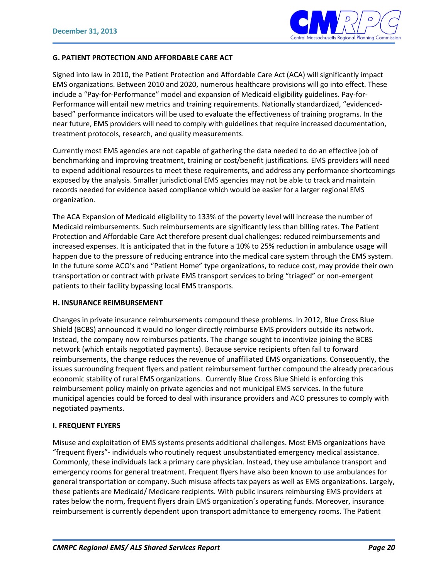

#### **G. PATIENT PROTECTION AND AFFORDABLE CARE ACT**

Signed into law in 2010, the Patient Protection and Affordable Care Act (ACA) will significantly impact EMS organizations. Between 2010 and 2020, numerous healthcare provisions will go into effect. These include a "Pay-for-Performance" model and expansion of Medicaid eligibility guidelines. Pay-for-Performance will entail new metrics and training requirements. Nationally standardized, "evidencedbased" performance indicators will be used to evaluate the effectiveness of training programs. In the near future, EMS providers will need to comply with guidelines that require increased documentation, treatment protocols, research, and quality measurements.

Currently most EMS agencies are not capable of gathering the data needed to do an effective job of benchmarking and improving treatment, training or cost/benefit justifications. EMS providers will need to expend additional resources to meet these requirements, and address any performance shortcomings exposed by the analysis. Smaller jurisdictional EMS agencies may not be able to track and maintain records needed for evidence based compliance which would be easier for a larger regional EMS organization.

The ACA Expansion of Medicaid eligibility to 133% of the poverty level will increase the number of Medicaid reimbursements. Such reimbursements are significantly less than billing rates. The Patient Protection and Affordable Care Act therefore present dual challenges: reduced reimbursements and increased expenses. It is anticipated that in the future a 10% to 25% reduction in ambulance usage will happen due to the pressure of reducing entrance into the medical care system through the EMS system. In the future some ACO's and "Patient Home" type organizations, to reduce cost, may provide their own transportation or contract with private EMS transport services to bring "triaged" or non-emergent patients to their facility bypassing local EMS transports.

#### **H. INSURANCE REIMBURSEMENT**

Changes in private insurance reimbursements compound these problems. In 2012, Blue Cross Blue Shield (BCBS) announced it would no longer directly reimburse EMS providers outside its network. Instead, the company now reimburses patients. The change sought to incentivize joining the BCBS network (which entails negotiated payments). Because service recipients often fail to forward reimbursements, the change reduces the revenue of unaffiliated EMS organizations. Consequently, the issues surrounding frequent flyers and patient reimbursement further compound the already precarious economic stability of rural EMS organizations. Currently Blue Cross Blue Shield is enforcing this reimbursement policy mainly on private agencies and not municipal EMS services. In the future municipal agencies could be forced to deal with insurance providers and ACO pressures to comply with negotiated payments.

#### **I. FREQUENT FLYERS**

Misuse and exploitation of EMS systems presents additional challenges. Most EMS organizations have "frequent flyers"- individuals who routinely request unsubstantiated emergency medical assistance. Commonly, these individuals lack a primary care physician. Instead, they use ambulance transport and emergency rooms for general treatment. Frequent flyers have also been known to use ambulances for general transportation or company. Such misuse affects tax payers as well as EMS organizations. Largely, these patients are Medicaid/ Medicare recipients. With public insurers reimbursing EMS providers at rates below the norm, frequent flyers drain EMS organization's operating funds. Moreover, insurance reimbursement is currently dependent upon transport admittance to emergency rooms. The Patient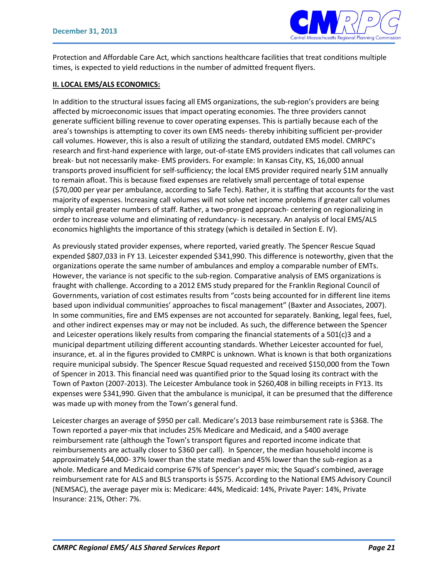

Protection and Affordable Care Act, which sanctions healthcare facilities that treat conditions multiple times, is expected to yield reductions in the number of admitted frequent flyers.

#### **II. LOCAL EMS/ALS ECONOMICS:**

In addition to the structural issues facing all EMS organizations, the sub-region's providers are being affected by microeconomic issues that impact operating economies. The three providers cannot generate sufficient billing revenue to cover operating expenses. This is partially because each of the area's townships is attempting to cover its own EMS needs- thereby inhibiting sufficient per-provider call volumes. However, this is also a result of utilizing the standard, outdated EMS model. CMRPC's research and first-hand experience with large, out-of-state EMS providers indicates that call volumes can break- but not necessarily make- EMS providers. For example: In Kansas City, KS, 16,000 annual transports proved insufficient for self-sufficiency; the local EMS provider required nearly \$1M annually to remain afloat. This is because fixed expenses are relatively small percentage of total expense (\$70,000 per year per ambulance, according to Safe Tech). Rather, it is staffing that accounts for the vast majority of expenses. Increasing call volumes will not solve net income problems if greater call volumes simply entail greater numbers of staff. Rather, a two-pronged approach- centering on regionalizing in order to increase volume and eliminating of redundancy- is necessary. An analysis of local EMS/ALS economics highlights the importance of this strategy (which is detailed in Section E. IV).

As previously stated provider expenses, where reported, varied greatly. The Spencer Rescue Squad expended \$807,033 in FY 13. Leicester expended \$341,990. This difference is noteworthy, given that the organizations operate the same number of ambulances and employ a comparable number of EMTs. However, the variance is not specific to the sub-region. Comparative analysis of EMS organizations is fraught with challenge. According to a 2012 EMS study prepared for the Franklin Regional Council of Governments, variation of cost estimates results from "costs being accounted for in different line items based upon individual communities' approaches to fiscal management" (Baxter and Associates, 2007). In some communities, fire and EMS expenses are not accounted for separately. Banking, legal fees, fuel, and other indirect expenses may or may not be included. As such, the difference between the Spencer and Leicester operations likely results from comparing the financial statements of a 501(c)3 and a municipal department utilizing different accounting standards. Whether Leicester accounted for fuel, insurance, et. al in the figures provided to CMRPC is unknown. What is known is that both organizations require municipal subsidy. The Spencer Rescue Squad requested and received \$150,000 from the Town of Spencer in 2013. This financial need was quantified prior to the Squad losing its contract with the Town of Paxton (2007-2013). The Leicester Ambulance took in \$260,408 in billing receipts in FY13. Its expenses were \$341,990. Given that the ambulance is municipal, it can be presumed that the difference was made up with money from the Town's general fund.

Leicester charges an average of \$950 per call. Medicare's 2013 base reimbursement rate is \$368. The Town reported a payer-mix that includes 25% Medicare and Medicaid, and a \$400 average reimbursement rate (although the Town's transport figures and reported income indicate that reimbursements are actually closer to \$360 per call). In Spencer, the median household income is approximately \$44,000- 37% lower than the state median and 45% lower than the sub-region as a whole. Medicare and Medicaid comprise 67% of Spencer's payer mix; the Squad's combined, average reimbursement rate for ALS and BLS transports is \$575. According to the National EMS Advisory Council (NEMSAC), the average payer mix is: Medicare: 44%, Medicaid: 14%, Private Payer: 14%, Private Insurance: 21%, Other: 7%.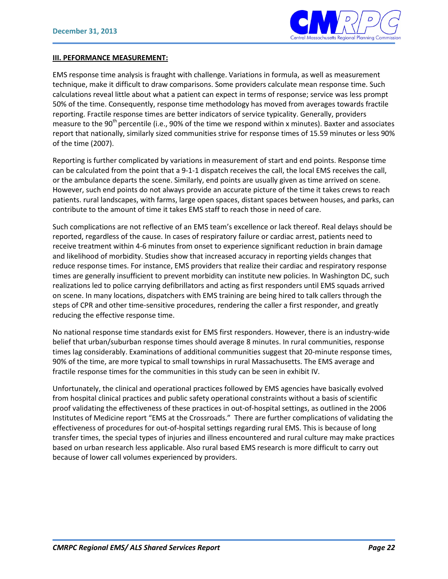

#### **III. PEFORMANCE MEASUREMENT:**

EMS response time analysis is fraught with challenge. Variations in formula, as well as measurement technique, make it difficult to draw comparisons. Some providers calculate mean response time. Such calculations reveal little about what a patient can expect in terms of response; service was less prompt 50% of the time. Consequently, response time methodology has moved from averages towards fractile reporting. Fractile response times are better indicators of service typicality. Generally, providers measure to the 90<sup>th</sup> percentile (i.e., 90% of the time we respond within x minutes). Baxter and associates report that nationally, similarly sized communities strive for response times of 15.59 minutes or less 90% of the time (2007).

Reporting is further complicated by variations in measurement of start and end points. Response time can be calculated from the point that a 9-1-1 dispatch receives the call, the local EMS receives the call, or the ambulance departs the scene. Similarly, end points are usually given as time arrived on scene. However, such end points do not always provide an accurate picture of the time it takes crews to reach patients. rural landscapes, with farms, large open spaces, distant spaces between houses, and parks, can contribute to the amount of time it takes EMS staff to reach those in need of care.

Such complications are not reflective of an EMS team's excellence or lack thereof. Real delays should be reported, regardless of the cause. In cases of respiratory failure or cardiac arrest, patients need to receive treatment within 4-6 minutes from onset to experience significant reduction in brain damage and likelihood of morbidity. Studies show that increased accuracy in reporting yields changes that reduce response times. For instance, EMS providers that realize their cardiac and respiratory response times are generally insufficient to prevent morbidity can institute new policies. In Washington DC, such realizations led to police carrying defibrillators and acting as first responders until EMS squads arrived on scene. In many locations, dispatchers with EMS training are being hired to talk callers through the steps of CPR and other time-sensitive procedures, rendering the caller a first responder, and greatly reducing the effective response time.

No national response time standards exist for EMS first responders. However, there is an industry-wide belief that urban/suburban response times should average 8 minutes. In rural communities, response times lag considerably. Examinations of additional communities suggest that 20-minute response times, 90% of the time, are more typical to small townships in rural Massachusetts. The EMS average and fractile response times for the communities in this study can be seen in exhibit IV.

Unfortunately, the clinical and operational practices followed by EMS agencies have basically evolved from hospital clinical practices and public safety operational constraints without a basis of scientific proof validating the effectiveness of these practices in out-of-hospital settings, as outlined in the 2006 Institutes of Medicine report "EMS at the Crossroads." There are further complications of validating the effectiveness of procedures for out-of-hospital settings regarding rural EMS. This is because of long transfer times, the special types of injuries and illness encountered and rural culture may make practices based on urban research less applicable. Also rural based EMS research is more difficult to carry out because of lower call volumes experienced by providers.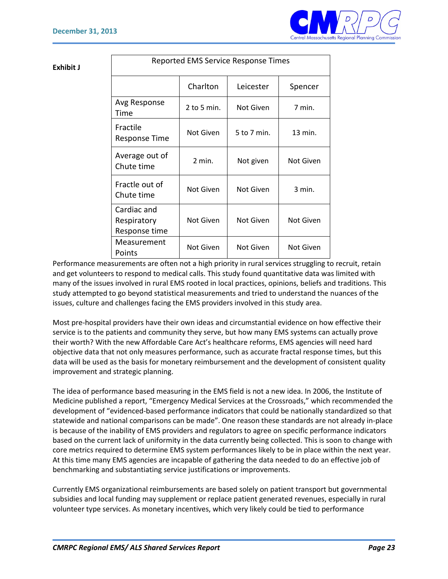

#### **Exhibit J**

| Reported EMS Service Response Times         |             |             |           |  |  |  |  |
|---------------------------------------------|-------------|-------------|-----------|--|--|--|--|
|                                             | Charlton    | Leicester   | Spencer   |  |  |  |  |
| Avg Response<br>Time                        | 2 to 5 min. | Not Given   | 7 min.    |  |  |  |  |
| Fractile<br><b>Response Time</b>            | Not Given   | 5 to 7 min. | 13 min.   |  |  |  |  |
| Average out of<br>Chute time                | $2$ min.    | Not given   | Not Given |  |  |  |  |
| Fractle out of<br>Chute time                | Not Given   | Not Given   | $3$ min.  |  |  |  |  |
| Cardiac and<br>Respiratory<br>Response time | Not Given   | Not Given   | Not Given |  |  |  |  |
| Measurement<br>Points                       | Not Given   | Not Given   | Not Given |  |  |  |  |

Performance measurements are often not a high priority in rural services struggling to recruit, retain and get volunteers to respond to medical calls. This study found quantitative data was limited with many of the issues involved in rural EMS rooted in local practices, opinions, beliefs and traditions. This study attempted to go beyond statistical measurements and tried to understand the nuances of the issues, culture and challenges facing the EMS providers involved in this study area.

Most pre-hospital providers have their own ideas and circumstantial evidence on how effective their service is to the patients and community they serve, but how many EMS systems can actually prove their worth? With the new Affordable Care Act's healthcare reforms, EMS agencies will need hard objective data that not only measures performance, such as accurate fractal response times, but this data will be used as the basis for monetary reimbursement and the development of consistent quality improvement and strategic planning.

The idea of performance based measuring in the EMS field is not a new idea. In 2006, the Institute of Medicine published a report, "Emergency Medical Services at the Crossroads," which recommended the development of "evidenced-based performance indicators that could be nationally standardized so that statewide and national comparisons can be made". One reason these standards are not already in-place is because of the inability of EMS providers and regulators to agree on specific performance indicators based on the current lack of uniformity in the data currently being collected. This is soon to change with core metrics required to determine EMS system performances likely to be in place within the next year. At this time many EMS agencies are incapable of gathering the data needed to do an effective job of benchmarking and substantiating service justifications or improvements.

Currently EMS organizational reimbursements are based solely on patient transport but governmental subsidies and local funding may supplement or replace patient generated revenues, especially in rural volunteer type services. As monetary incentives, which very likely could be tied to performance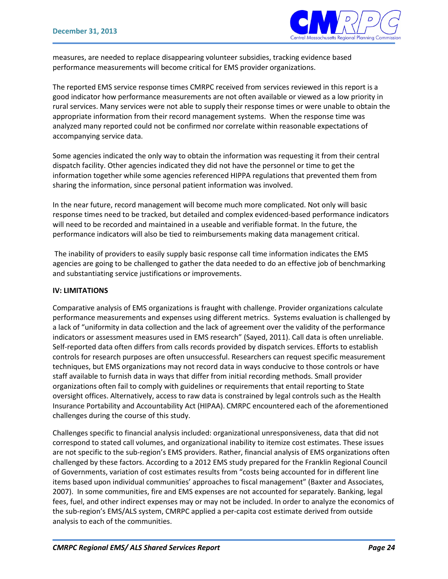

measures, are needed to replace disappearing volunteer subsidies, tracking evidence based performance measurements will become critical for EMS provider organizations.

The reported EMS service response times CMRPC received from services reviewed in this report is a good indicator how performance measurements are not often available or viewed as a low priority in rural services. Many services were not able to supply their response times or were unable to obtain the appropriate information from their record management systems. When the response time was analyzed many reported could not be confirmed nor correlate within reasonable expectations of accompanying service data.

Some agencies indicated the only way to obtain the information was requesting it from their central dispatch facility. Other agencies indicated they did not have the personnel or time to get the information together while some agencies referenced HIPPA regulations that prevented them from sharing the information, since personal patient information was involved.

In the near future, record management will become much more complicated. Not only will basic response times need to be tracked, but detailed and complex evidenced-based performance indicators will need to be recorded and maintained in a useable and verifiable format. In the future, the performance indicators will also be tied to reimbursements making data management critical.

The inability of providers to easily supply basic response call time information indicates the EMS agencies are going to be challenged to gather the data needed to do an effective job of benchmarking and substantiating service justifications or improvements.

#### **IV: LIMITATIONS**

Comparative analysis of EMS organizations is fraught with challenge. Provider organizations calculate performance measurements and expenses using different metrics. Systems evaluation is challenged by a lack of "uniformity in data collection and the lack of agreement over the validity of the performance indicators or assessment measures used in EMS research" (Sayed, 2011). Call data is often unreliable. Self-reported data often differs from calls records provided by dispatch services. Efforts to establish controls for research purposes are often unsuccessful. Researchers can request specific measurement techniques, but EMS organizations may not record data in ways conducive to those controls or have staff available to furnish data in ways that differ from initial recording methods. Small provider organizations often fail to comply with guidelines or requirements that entail reporting to State oversight offices. Alternatively, access to raw data is constrained by legal controls such as the Health Insurance Portability and Accountability Act (HIPAA). CMRPC encountered each of the aforementioned challenges during the course of this study.

Challenges specific to financial analysis included: organizational unresponsiveness, data that did not correspond to stated call volumes, and organizational inability to itemize cost estimates. These issues are not specific to the sub-region's EMS providers. Rather, financial analysis of EMS organizations often challenged by these factors. According to a 2012 EMS study prepared for the Franklin Regional Council of Governments, variation of cost estimates results from "costs being accounted for in different line items based upon individual communities' approaches to fiscal management" (Baxter and Associates, 2007). In some communities, fire and EMS expenses are not accounted for separately. Banking, legal fees, fuel, and other indirect expenses may or may not be included. In order to analyze the economics of the sub-region's EMS/ALS system, CMRPC applied a per-capita cost estimate derived from outside analysis to each of the communities.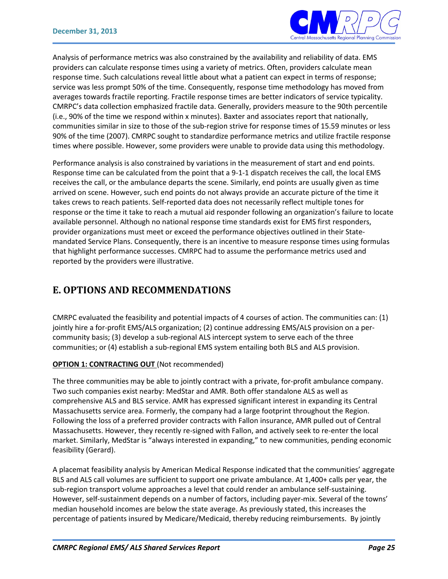

Analysis of performance metrics was also constrained by the availability and reliability of data. EMS providers can calculate response times using a variety of metrics. Often, providers calculate mean response time. Such calculations reveal little about what a patient can expect in terms of response; service was less prompt 50% of the time. Consequently, response time methodology has moved from averages towards fractile reporting. Fractile response times are better indicators of service typicality. CMRPC's data collection emphasized fractile data. Generally, providers measure to the 90th percentile (i.e., 90% of the time we respond within x minutes). Baxter and associates report that nationally, communities similar in size to those of the sub-region strive for response times of 15.59 minutes or less 90% of the time (2007). CMRPC sought to standardize performance metrics and utilize fractile response times where possible. However, some providers were unable to provide data using this methodology.

Performance analysis is also constrained by variations in the measurement of start and end points. Response time can be calculated from the point that a 9-1-1 dispatch receives the call, the local EMS receives the call, or the ambulance departs the scene. Similarly, end points are usually given as time arrived on scene. However, such end points do not always provide an accurate picture of the time it takes crews to reach patients. Self-reported data does not necessarily reflect multiple tones for response or the time it take to reach a mutual aid responder following an organization's failure to locate available personnel. Although no national response time standards exist for EMS first responders, provider organizations must meet or exceed the performance objectives outlined in their Statemandated Service Plans. Consequently, there is an incentive to measure response times using formulas that highlight performance successes. CMRPC had to assume the performance metrics used and reported by the providers were illustrative.

## **E. OPTIONS AND RECOMMENDATIONS**

CMRPC evaluated the feasibility and potential impacts of 4 courses of action. The communities can: (1) jointly hire a for-profit EMS/ALS organization; (2) continue addressing EMS/ALS provision on a percommunity basis; (3) develop a sub-regional ALS intercept system to serve each of the three communities; or (4) establish a sub-regional EMS system entailing both BLS and ALS provision.

#### **OPTION 1: CONTRACTING OUT** (Not recommended)

The three communities may be able to jointly contract with a private, for-profit ambulance company. Two such companies exist nearby: MedStar and AMR. Both offer standalone ALS as well as comprehensive ALS and BLS service. AMR has expressed significant interest in expanding its Central Massachusetts service area. Formerly, the company had a large footprint throughout the Region. Following the loss of a preferred provider contracts with Fallon insurance, AMR pulled out of Central Massachusetts. However, they recently re-signed with Fallon, and actively seek to re-enter the local market. Similarly, MedStar is "always interested in expanding," to new communities, pending economic feasibility (Gerard).

A placemat feasibility analysis by American Medical Response indicated that the communities' aggregate BLS and ALS call volumes are sufficient to support one private ambulance. At 1,400+ calls per year, the sub-region transport volume approaches a level that could render an ambulance self-sustaining. However, self-sustainment depends on a number of factors, including payer-mix. Several of the towns' median household incomes are below the state average. As previously stated, this increases the percentage of patients insured by Medicare/Medicaid, thereby reducing reimbursements. By jointly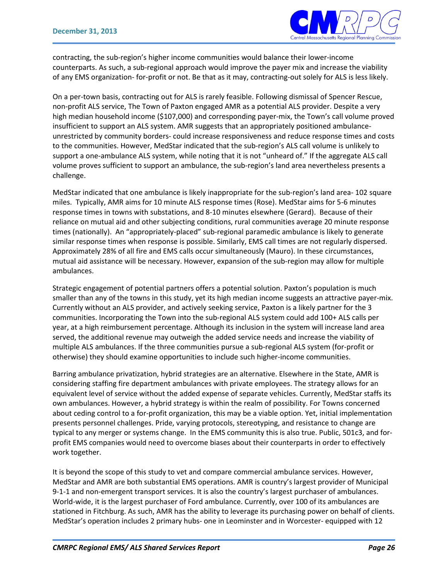

contracting, the sub-region's higher income communities would balance their lower-income counterparts. As such, a sub-regional approach would improve the payer mix and increase the viability of any EMS organization- for-profit or not. Be that as it may, contracting-out solely for ALS is less likely.

On a per-town basis, contracting out for ALS is rarely feasible. Following dismissal of Spencer Rescue, non-profit ALS service, The Town of Paxton engaged AMR as a potential ALS provider. Despite a very high median household income (\$107,000) and corresponding payer-mix, the Town's call volume proved insufficient to support an ALS system. AMR suggests that an appropriately positioned ambulanceunrestricted by community borders- could increase responsiveness and reduce response times and costs to the communities. However, MedStar indicated that the sub-region's ALS call volume is unlikely to support a one-ambulance ALS system, while noting that it is not "unheard of." If the aggregate ALS call volume proves sufficient to support an ambulance, the sub-region's land area nevertheless presents a challenge.

MedStar indicated that one ambulance is likely inappropriate for the sub-region's land area- 102 square miles. Typically, AMR aims for 10 minute ALS response times (Rose). MedStar aims for 5-6 minutes response times in towns with substations, and 8-10 minutes elsewhere (Gerard). Because of their reliance on mutual aid and other subjecting conditions, rural communities average 20 minute response times (nationally). An "appropriately-placed" sub-regional paramedic ambulance is likely to generate similar response times when response is possible. Similarly, EMS call times are not regularly dispersed. Approximately 28% of all fire and EMS calls occur simultaneously (Mauro). In these circumstances, mutual aid assistance will be necessary. However, expansion of the sub-region may allow for multiple ambulances.

Strategic engagement of potential partners offers a potential solution. Paxton's population is much smaller than any of the towns in this study, yet its high median income suggests an attractive payer-mix. Currently without an ALS provider, and actively seeking service, Paxton is a likely partner for the 3 communities. Incorporating the Town into the sub-regional ALS system could add 100+ ALS calls per year, at a high reimbursement percentage. Although its inclusion in the system will increase land area served, the additional revenue may outweigh the added service needs and increase the viability of multiple ALS ambulances. If the three communities pursue a sub-regional ALS system (for-profit or otherwise) they should examine opportunities to include such higher-income communities.

Barring ambulance privatization, hybrid strategies are an alternative. Elsewhere in the State, AMR is considering staffing fire department ambulances with private employees. The strategy allows for an equivalent level of service without the added expense of separate vehicles. Currently, MedStar staffs its own ambulances. However, a hybrid strategy is within the realm of possibility. For Towns concerned about ceding control to a for-profit organization, this may be a viable option. Yet, initial implementation presents personnel challenges. Pride, varying protocols, stereotyping, and resistance to change are typical to any merger or systems change. In the EMS community this is also true. Public, 501c3, and forprofit EMS companies would need to overcome biases about their counterparts in order to effectively work together.

It is beyond the scope of this study to vet and compare commercial ambulance services. However, MedStar and AMR are both substantial EMS operations. AMR is country's largest provider of Municipal 9-1-1 and non-emergent transport services. It is also the country's largest purchaser of ambulances. World-wide, it is the largest purchaser of Ford ambulance. Currently, over 100 of its ambulances are stationed in Fitchburg. As such, AMR has the ability to leverage its purchasing power on behalf of clients. MedStar's operation includes 2 primary hubs- one in Leominster and in Worcester- equipped with 12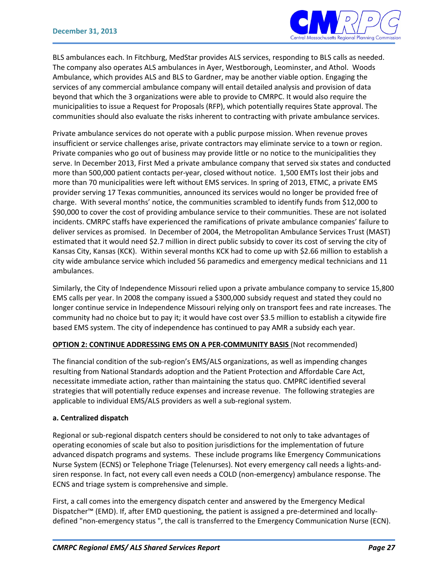

BLS ambulances each. In Fitchburg, MedStar provides ALS services, responding to BLS calls as needed. The company also operates ALS ambulances in Ayer, Westborough, Leominster, and Athol. Woods Ambulance, which provides ALS and BLS to Gardner, may be another viable option. Engaging the services of any commercial ambulance company will entail detailed analysis and provision of data beyond that which the 3 organizations were able to provide to CMRPC. It would also require the municipalities to issue a Request for Proposals (RFP), which potentially requires State approval. The communities should also evaluate the risks inherent to contracting with private ambulance services.

Private ambulance services do not operate with a public purpose mission. When revenue proves insufficient or service challenges arise, private contractors may eliminate service to a town or region. Private companies who go out of business may provide little or no notice to the municipalities they serve. In December 2013, First Med a private ambulance company that served six states and conducted more than 500,000 patient contacts per-year, closed without notice. 1,500 EMTs lost their jobs and more than 70 municipalities were left without EMS services. In spring of 2013, ETMC, a private EMS provider serving 17 Texas communities, announced its services would no longer be provided free of charge. With several months' notice, the communities scrambled to identify funds from \$12,000 to \$90,000 to cover the cost of providing ambulance service to their communities. These are not isolated incidents. CMRPC staffs have experienced the ramifications of private ambulance companies' failure to deliver services as promised. In December of 2004, the Metropolitan Ambulance Services Trust (MAST) estimated that it would need \$2.7 million in direct public subsidy to cover its cost of serving the city of Kansas City, Kansas (KCK). Within several months KCK had to come up with \$2.66 million to establish a city wide ambulance service which included 56 paramedics and emergency medical technicians and 11 ambulances.

Similarly, the City of Independence Missouri relied upon a private ambulance company to service 15,800 EMS calls per year. In 2008 the company issued a \$300,000 subsidy request and stated they could no longer continue service in Independence Missouri relying only on transport fees and rate increases. The community had no choice but to pay it; it would have cost over \$3.5 million to establish a citywide fire based EMS system. The city of independence has continued to pay AMR a subsidy each year.

#### **OPTION 2: CONTINUE ADDRESSING EMS ON A PER-COMMUNITY BASIS** (Not recommended)

The financial condition of the sub-region's EMS/ALS organizations, as well as impending changes resulting from National Standards adoption and the Patient Protection and Affordable Care Act, necessitate immediate action, rather than maintaining the status quo. CMPRC identified several strategies that will potentially reduce expenses and increase revenue. The following strategies are applicable to individual EMS/ALS providers as well a sub-regional system.

#### **a. Centralized dispatch**

Regional or sub-regional dispatch centers should be considered to not only to take advantages of operating economies of scale but also to position jurisdictions for the implementation of future advanced dispatch programs and systems. These include programs like Emergency Communications Nurse System (ECNS) or Telephone Triage (Telenurses). Not every emergency call needs a lights-andsiren response. In fact, not every call even needs a COLD (non-emergency) ambulance response. The ECNS and triage system is comprehensive and simple.

First, a call comes into the emergency dispatch center and answered by the Emergency Medical Dispatcher™ (EMD). If, after EMD questioning, the patient is assigned a pre-determined and locallydefined "non-emergency status ", the call is transferred to the Emergency Communication Nurse (ECN).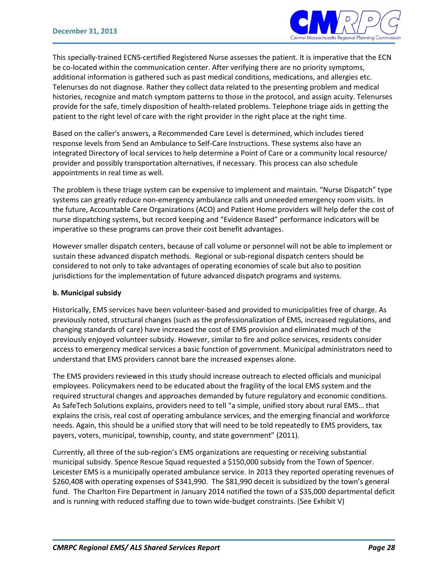

This specially-trained ECNS-certified Registered Nurse assesses the patient. It is imperative that the ECN be co-located within the communication center. After verifying there are no priority symptoms, additional information is gathered such as past medical conditions, medications, and allergies etc. Telenurses do not diagnose. Rather they collect data related to the presenting problem and medical histories, recognize and match symptom patterns to those in the protocol, and assign acuity. Telenurses provide for the safe, timely disposition of health-related problems. Telephone triage aids in getting the patient to the right level of care with the right provider in the right place at the right time.

Based on the caller's answers, a Recommended Care Level is determined, which includes tiered response levels from Send an Ambulance to Self-Care Instructions. These systems also have an integrated Directory of local services to help determine a Point of Care or a community local resource/ provider and possibly transportation alternatives, if necessary. This process can also schedule appointments in real time as well.

The problem is these triage system can be expensive to implement and maintain. "Nurse Dispatch" type systems can greatly reduce non-emergency ambulance calls and unneeded emergency room visits. In the future, Accountable Care Organizations (ACO) and Patient Home providers will help defer the cost of nurse dispatching systems, but record keeping and "Evidence Based" performance indicators will be imperative so these programs can prove their cost benefit advantages.

However smaller dispatch centers, because of call volume or personnel will not be able to implement or sustain these advanced dispatch methods. Regional or sub-regional dispatch centers should be considered to not only to take advantages of operating economies of scale but also to position jurisdictions for the implementation of future advanced dispatch programs and systems.

#### **b. Municipal subsidy**

Historically, EMS services have been volunteer-based and provided to municipalities free of charge. As previously noted, structural changes (such as the professionalization of EMS, increased regulations, and changing standards of care) have increased the cost of EMS provision and eliminated much of the previously enjoyed volunteer subsidy. However, similar to fire and police services, residents consider access to emergency medical services a basic function of government. Municipal administrators need to understand that EMS providers cannot bare the increased expenses alone.

The EMS providers reviewed in this study should increase outreach to elected officials and municipal employees. Policymakers need to be educated about the fragility of the local EMS system and the required structural changes and approaches demanded by future regulatory and economic conditions. As SafeTech Solutions explains, providers need to tell "a simple, unified story about rural EMS… that explains the crisis, real cost of operating ambulance services, and the emerging financial and workforce needs. Again, this should be a unified story that will need to be told repeatedly to EMS providers, tax payers, voters, municipal, township, county, and state government" (2011).

Currently, all three of the sub-region's EMS organizations are requesting or receiving substantial municipal subsidy. Spence Rescue Squad requested a \$150,000 subsidy from the Town of Spencer. Leicester EMS is a municipally operated ambulance service. In 2013 they reported operating revenues of \$260,408 with operating expenses of \$341,990. The \$81,990 deceit is subsidized by the town's general fund. The Charlton Fire Department in January 2014 notified the town of a \$35,000 departmental deficit and is running with reduced staffing due to town wide-budget constraints. (See Exhibit V)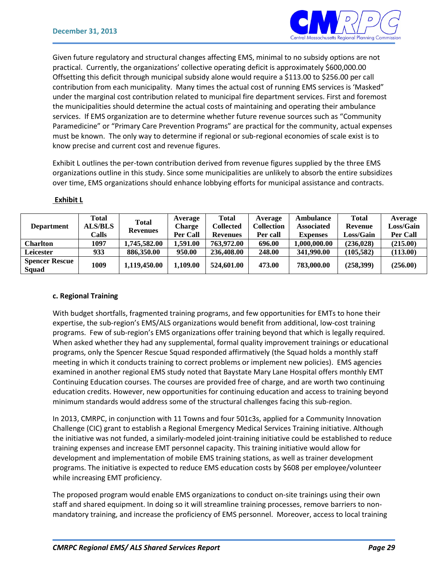

Given future regulatory and structural changes affecting EMS, minimal to no subsidy options are not practical. Currently, the organizations' collective operating deficit is approximately \$600,000.00 Offsetting this deficit through municipal subsidy alone would require a \$113.00 to \$256.00 per call contribution from each municipality. Many times the actual cost of running EMS services is 'Masked" under the marginal cost contribution related to municipal fire department services. First and foremost the municipalities should determine the actual costs of maintaining and operating their ambulance services. If EMS organization are to determine whether future revenue sources such as "Community Paramedicine" or "Primary Care Prevention Programs" are practical for the community, actual expenses must be known. The only way to determine if regional or sub-regional economies of scale exist is to know precise and current cost and revenue figures.

Exhibit L outlines the per-town contribution derived from revenue figures supplied by the three EMS organizations outline in this study. Since some municipalities are unlikely to absorb the entire subsidizes over time, EMS organizations should enhance lobbying efforts for municipal assistance and contracts.

|                                | Total          | Total           | Average         | Total           | Average           | Ambulance         | <b>Total</b>     | Average          |
|--------------------------------|----------------|-----------------|-----------------|-----------------|-------------------|-------------------|------------------|------------------|
| <b>Department</b>              | <b>ALS/BLS</b> | <b>Revenues</b> | <b>Charge</b>   | Collected       | <b>Collection</b> | <b>Associated</b> | Revenue          | <b>Loss/Gain</b> |
|                                | Calls          |                 | <b>Per Call</b> | <b>Revenues</b> | Per call          | <b>Expenses</b>   | <b>Loss/Gain</b> | <b>Per Call</b>  |
| <b>Charlton</b>                | 1097           | 1,745,582.00    | 1.591.00        | 763,972.00      | 696.00            | 000,000.00 0.1    | (236, 028)       | (215.00)         |
| Leicester                      | 933            | 886,350.00      | 950.00          | 236,408.00      | 248.00            | 341,990.00        | (105.582)        | (113.00)         |
| <b>Spencer Rescue</b><br>Squad | 1009           | 1.119.450.00    | 1.109.00        | 524,601.00      | 473.00            | 783,000.00        | (258,399)        | (256.00)         |

#### **Exhibit L**

#### **c. Regional Training**

With budget shortfalls, fragmented training programs, and few opportunities for EMTs to hone their expertise, the sub-region's EMS/ALS organizations would benefit from additional, low-cost training programs. Few of sub-region's EMS organizations offer training beyond that which is legally required. When asked whether they had any supplemental, formal quality improvement trainings or educational programs, only the Spencer Rescue Squad responded affirmatively (the Squad holds a monthly staff meeting in which it conducts training to correct problems or implement new policies). EMS agencies examined in another regional EMS study noted that Baystate Mary Lane Hospital offers monthly EMT Continuing Education courses. The courses are provided free of charge, and are worth two continuing education credits. However, new opportunities for continuing education and access to training beyond minimum standards would address some of the structural challenges facing this sub-region.

In 2013, CMRPC, in conjunction with 11 Towns and four 501c3s, applied for a Community Innovation Challenge (CIC) grant to establish a Regional Emergency Medical Services Training initiative. Although the initiative was not funded, a similarly-modeled joint-training initiative could be established to reduce training expenses and increase EMT personnel capacity. This training initiative would allow for development and implementation of mobile EMS training stations, as well as trainer development programs. The initiative is expected to reduce EMS education costs by \$608 per employee/volunteer while increasing EMT proficiency.

The proposed program would enable EMS organizations to conduct on-site trainings using their own staff and shared equipment. In doing so it will streamline training processes, remove barriers to nonmandatory training, and increase the proficiency of EMS personnel. Moreover, access to local training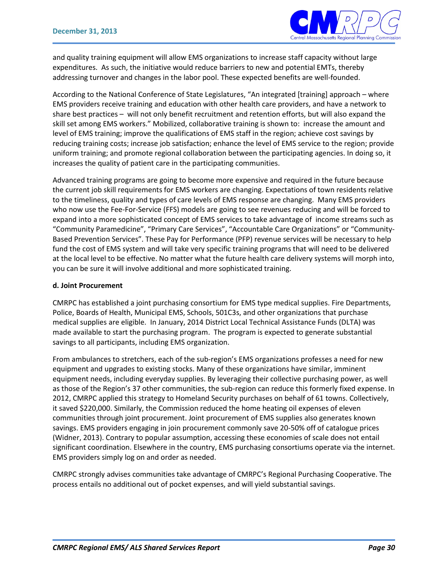

and quality training equipment will allow EMS organizations to increase staff capacity without large expenditures. As such, the initiative would reduce barriers to new and potential EMTs, thereby addressing turnover and changes in the labor pool. These expected benefits are well-founded.

According to the National Conference of State Legislatures, "An integrated [training] approach – where EMS providers receive training and education with other health care providers, and have a network to share best practices – will not only benefit recruitment and retention efforts, but will also expand the skill set among EMS workers." Mobilized, collaborative training is shown to: increase the amount and level of EMS training; improve the qualifications of EMS staff in the region; achieve cost savings by reducing training costs; increase job satisfaction; enhance the level of EMS service to the region; provide uniform training; and promote regional collaboration between the participating agencies. In doing so, it increases the quality of patient care in the participating communities.

Advanced training programs are going to become more expensive and required in the future because the current job skill requirements for EMS workers are changing. Expectations of town residents relative to the timeliness, quality and types of care levels of EMS response are changing. Many EMS providers who now use the Fee-For-Service (FFS) models are going to see revenues reducing and will be forced to expand into a more sophisticated concept of EMS services to take advantage of income streams such as "Community Paramedicine", "Primary Care Services", "Accountable Care Organizations" or "Community-Based Prevention Services". These Pay for Performance (PFP) revenue services will be necessary to help fund the cost of EMS system and will take very specific training programs that will need to be delivered at the local level to be effective. No matter what the future health care delivery systems will morph into, you can be sure it will involve additional and more sophisticated training.

#### **d. Joint Procurement**

CMRPC has established a joint purchasing consortium for EMS type medical supplies. Fire Departments, Police, Boards of Health, Municipal EMS, Schools, 501C3s, and other organizations that purchase medical supplies are eligible. In January, 2014 District Local Technical Assistance Funds (DLTA) was made available to start the purchasing program. The program is expected to generate substantial savings to all participants, including EMS organization.

From ambulances to stretchers, each of the sub-region's EMS organizations professes a need for new equipment and upgrades to existing stocks. Many of these organizations have similar, imminent equipment needs, including everyday supplies. By leveraging their collective purchasing power, as well as those of the Region's 37 other communities, the sub-region can reduce this formerly fixed expense. In 2012, CMRPC applied this strategy to Homeland Security purchases on behalf of 61 towns. Collectively, it saved \$220,000. Similarly, the Commission reduced the home heating oil expenses of eleven communities through joint procurement. Joint procurement of EMS supplies also generates known savings. EMS providers engaging in join procurement commonly save 20-50% off of catalogue prices (Widner, 2013). Contrary to popular assumption, accessing these economies of scale does not entail significant coordination. Elsewhere in the country, EMS purchasing consortiums operate via the internet. EMS providers simply log on and order as needed.

CMRPC strongly advises communities take advantage of CMRPC's Regional Purchasing Cooperative. The process entails no additional out of pocket expenses, and will yield substantial savings.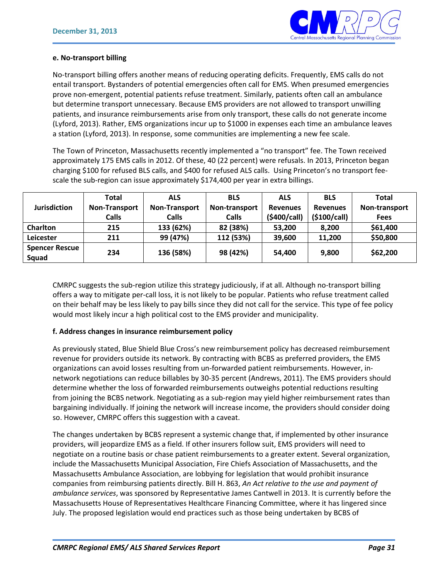

#### **e. No-transport billing**

No-transport billing offers another means of reducing operating deficits. Frequently, EMS calls do not entail transport. Bystanders of potential emergencies often call for EMS. When presumed emergencies prove non-emergent, potential patients refuse treatment. Similarly, patients often call an ambulance but determine transport unnecessary. Because EMS providers are not allowed to transport unwilling patients, and insurance reimbursements arise from only transport, these calls do not generate income (Lyford, 2013). Rather, EMS organizations incur up to \$1000 in expenses each time an ambulance leaves a station (Lyford, 2013). In response, some communities are implementing a new fee scale.

The Town of Princeton, Massachusetts recently implemented a "no transport" fee. The Town received approximately 175 EMS calls in 2012. Of these, 40 (22 percent) were refusals. In 2013, Princeton began charging \$100 for refused BLS calls, and \$400 for refused ALS calls. Using Princeton's no transport feescale the sub-region can issue approximately \$174,400 per year in extra billings.

|                                | <b>Total</b>         | <b>ALS</b>           | <b>BLS</b>    | <b>ALS</b>      | <b>BLS</b>      | <b>Total</b>  |
|--------------------------------|----------------------|----------------------|---------------|-----------------|-----------------|---------------|
| <b>Jurisdiction</b>            | <b>Non-Transport</b> | <b>Non-Transport</b> | Non-transport | <b>Revenues</b> | <b>Revenues</b> | Non-transport |
|                                | <b>Calls</b>         | <b>Calls</b>         | <b>Calls</b>  | (\$400/call)    | (5100/call)     | <b>Fees</b>   |
| <b>Charlton</b>                | 215                  | 133 (62%)            | 82 (38%)      | 53,200          | 8,200           | \$61,400      |
| Leicester                      | 211                  | 99 (47%)             | 112 (53%)     | 39,600          | 11,200          | \$50,800      |
| <b>Spencer Rescue</b><br>Squad | 234                  | 136 (58%)            | 98 (42%)      | 54.400          | 9,800           | \$62,200      |

CMRPC suggests the sub-region utilize this strategy judiciously, if at all. Although no-transport billing offers a way to mitigate per-call loss, it is not likely to be popular. Patients who refuse treatment called on their behalf may be less likely to pay bills since they did not call for the service. This type of fee policy would most likely incur a high political cost to the EMS provider and municipality.

#### **f. Address changes in insurance reimbursement policy**

As previously stated, Blue Shield Blue Cross's new reimbursement policy has decreased reimbursement revenue for providers outside its network. By contracting with BCBS as preferred providers, the EMS organizations can avoid losses resulting from un-forwarded patient reimbursements. However, innetwork negotiations can reduce billables by 30-35 percent (Andrews, 2011). The EMS providers should determine whether the loss of forwarded reimbursements outweighs potential reductions resulting from joining the BCBS network. Negotiating as a sub-region may yield higher reimbursement rates than bargaining individually. If joining the network will increase income, the providers should consider doing so. However, CMRPC offers this suggestion with a caveat.

The changes undertaken by BCBS represent a systemic change that, if implemented by other insurance providers, will jeopardize EMS as a field. If other insurers follow suit, EMS providers will need to negotiate on a routine basis or chase patient reimbursements to a greater extent. Several organization, include the Massachusetts Municipal Association, Fire Chiefs Association of Massachusetts, and the Massachusetts Ambulance Association, are lobbying for legislation that would prohibit insurance companies from reimbursing patients directly. Bill H. 863, *An Act relative to the use and payment of ambulance services*, was sponsored by Representative James Cantwell in 2013. It is currently before the Massachusetts House of Representatives Healthcare Financing Committee, where it has lingered since July. The proposed legislation would end practices such as those being undertaken by BCBS of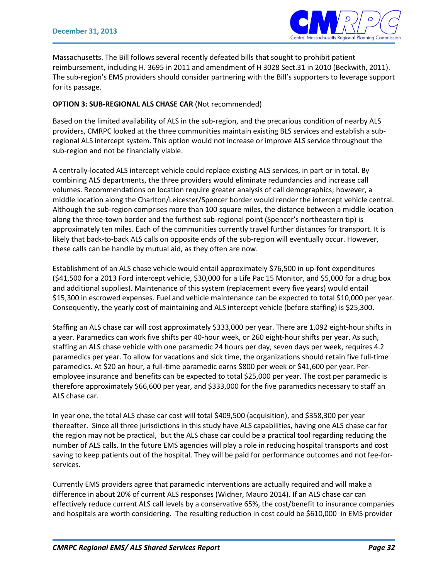

Massachusetts. The Bill follows several recently defeated bills that sought to prohibit patient reimbursement, including H. 3695 in 2011 and amendment of H 3028 Sect.31 in 2010 (Beckwith, 2011). The sub-region's EMS providers should consider partnering with the Bill's supporters to leverage support for its passage.

#### **OPTION 3: SUB-REGIONAL ALS CHASE CAR** (Not recommended)

Based on the limited availability of ALS in the sub-region, and the precarious condition of nearby ALS providers, CMRPC looked at the three communities maintain existing BLS services and establish a subregional ALS intercept system. This option would not increase or improve ALS service throughout the sub-region and not be financially viable.

A centrally-located ALS intercept vehicle could replace existing ALS services, in part or in total. By combining ALS departments, the three providers would eliminate redundancies and increase call volumes. Recommendations on location require greater analysis of call demographics; however, a middle location along the Charlton/Leicester/Spencer border would render the intercept vehicle central. Although the sub-region comprises more than 100 square miles, the distance between a middle location along the three-town border and the furthest sub-regional point (Spencer's northeastern tip) is approximately ten miles. Each of the communities currently travel further distances for transport. It is likely that back-to-back ALS calls on opposite ends of the sub-region will eventually occur. However, these calls can be handle by mutual aid, as they often are now.

Establishment of an ALS chase vehicle would entail approximately \$76,500 in up-font expenditures (\$41,500 for a 2013 Ford intercept vehicle, \$30,000 for a Life Pac 15 Monitor, and \$5,000 for a drug box and additional supplies). Maintenance of this system (replacement every five years) would entail \$15,300 in escrowed expenses. Fuel and vehicle maintenance can be expected to total \$10,000 per year. Consequently, the yearly cost of maintaining and ALS intercept vehicle (before staffing) is \$25,300.

Staffing an ALS chase car will cost approximately \$333,000 per year. There are 1,092 eight-hour shifts in a year. Paramedics can work five shifts per 40-hour week, or 260 eight-hour shifts per year. As such, staffing an ALS chase vehicle with one paramedic 24 hours per day, seven days per week, requires 4.2 paramedics per year. To allow for vacations and sick time, the organizations should retain five full-time paramedics. At \$20 an hour, a full-time paramedic earns \$800 per week or \$41,600 per year. Peremployee insurance and benefits can be expected to total \$25,000 per year. The cost per paramedic is therefore approximately \$66,600 per year, and \$333,000 for the five paramedics necessary to staff an ALS chase car.

In year one, the total ALS chase car cost will total \$409,500 (acquisition), and \$358,300 per year thereafter. Since all three jurisdictions in this study have ALS capabilities, having one ALS chase car for the region may not be practical, but the ALS chase car could be a practical tool regarding reducing the number of ALS calls. In the future EMS agencies will play a role in reducing hospital transports and cost saving to keep patients out of the hospital. They will be paid for performance outcomes and not fee-forservices.

Currently EMS providers agree that paramedic interventions are actually required and will make a difference in about 20% of current ALS responses (Widner, Mauro 2014). If an ALS chase car can effectively reduce current ALS call levels by a conservative 65%, the cost/benefit to insurance companies and hospitals are worth considering. The resulting reduction in cost could be \$610,000 in EMS provider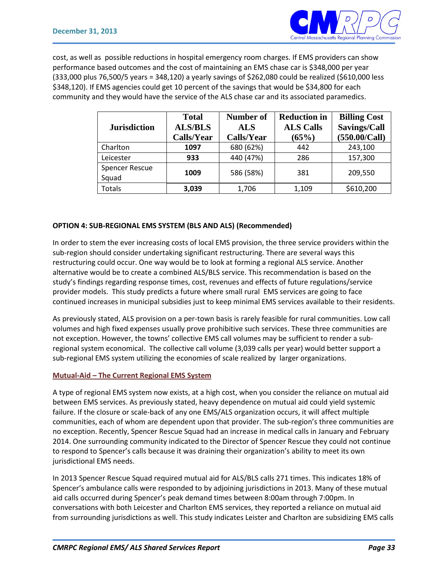

cost, as well as possible reductions in hospital emergency room charges. If EMS providers can show performance based outcomes and the cost of maintaining an EMS chase car is \$348,000 per year (333,000 plus 76,500/5 years = 348,120) a yearly savings of \$262,080 could be realized (\$610,000 less \$348,120). If EMS agencies could get 10 percent of the savings that would be \$34,800 for each community and they would have the service of the ALS chase car and its associated paramedics.

| <b>Jurisdiction</b>            | <b>Total</b><br><b>ALS/BLS</b><br>Calls/Year | Number of<br><b>ALS</b><br>Calls/Year | <b>Reduction in</b><br><b>ALS Calls</b><br>(65%) | <b>Billing Cost</b><br>Savings/Call<br>(550.00/Call) |  |
|--------------------------------|----------------------------------------------|---------------------------------------|--------------------------------------------------|------------------------------------------------------|--|
| Charlton                       | 1097                                         | 680 (62%)                             | 442                                              | 243,100                                              |  |
| Leicester                      | 933                                          | 440 (47%)                             | 286                                              | 157,300                                              |  |
| <b>Spencer Rescue</b><br>Squad | 1009                                         | 586 (58%)                             | 381                                              | 209,550                                              |  |
| <b>Totals</b>                  | 3,039                                        | 1,706                                 | 1,109                                            | \$610,200                                            |  |

#### **OPTION 4: SUB-REGIONAL EMS SYSTEM (BLS AND ALS) (Recommended)**

In order to stem the ever increasing costs of local EMS provision, the three service providers within the sub-region should consider undertaking significant restructuring. There are several ways this restructuring could occur. One way would be to look at forming a regional ALS service. Another alternative would be to create a combined ALS/BLS service. This recommendation is based on the study's findings regarding response times, cost, revenues and effects of future regulations/service provider models. This study predicts a future where small rural EMS services are going to face continued increases in municipal subsidies just to keep minimal EMS services available to their residents.

As previously stated, ALS provision on a per-town basis is rarely feasible for rural communities. Low call volumes and high fixed expenses usually prove prohibitive such services. These three communities are not exception. However, the towns' collective EMS call volumes may be sufficient to render a subregional system economical. The collective call volume (3,039 calls per year) would better support a sub-regional EMS system utilizing the economies of scale realized by larger organizations.

#### **Mutual-Aid – The Current Regional EMS System**

A type of regional EMS system now exists, at a high cost, when you consider the reliance on mutual aid between EMS services. As previously stated, heavy dependence on mutual aid could yield systemic failure. If the closure or scale-back of any one EMS/ALS organization occurs, it will affect multiple communities, each of whom are dependent upon that provider. The sub-region's three communities are no exception. Recently, Spencer Rescue Squad had an increase in medical calls in January and February 2014. One surrounding community indicated to the Director of Spencer Rescue they could not continue to respond to Spencer's calls because it was draining their organization's ability to meet its own jurisdictional EMS needs.

In 2013 Spencer Rescue Squad required mutual aid for ALS/BLS calls 271 times. This indicates 18% of Spencer's ambulance calls were responded to by adjoining jurisdictions in 2013. Many of these mutual aid calls occurred during Spencer's peak demand times between 8:00am through 7:00pm. In conversations with both Leicester and Charlton EMS services, they reported a reliance on mutual aid from surrounding jurisdictions as well. This study indicates Leister and Charlton are subsidizing EMS calls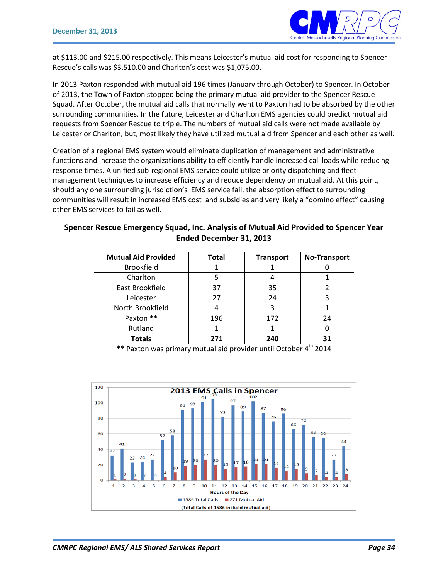

at \$113.00 and \$215.00 respectively. This means Leicester's mutual aid cost for responding to Spencer Rescue's calls was \$3,510.00 and Charlton's cost was \$1,075.00.

In 2013 Paxton responded with mutual aid 196 times (January through October) to Spencer. In October of 2013, the Town of Paxton stopped being the primary mutual aid provider to the Spencer Rescue Squad. After October, the mutual aid calls that normally went to Paxton had to be absorbed by the other surrounding communities. In the future, Leicester and Charlton EMS agencies could predict mutual aid requests from Spencer Rescue to triple. The numbers of mutual aid calls were not made available by Leicester or Charlton, but, most likely they have utilized mutual aid from Spencer and each other as well.

Creation of a regional EMS system would eliminate duplication of management and administrative functions and increase the organizations ability to efficiently handle increased call loads while reducing response times. A unified sub-regional EMS service could utilize priority dispatching and fleet management techniques to increase efficiency and reduce dependency on mutual aid. At this point, should any one surrounding jurisdiction's EMS service fail, the absorption effect to surrounding communities will result in increased EMS cost and subsidies and very likely a "domino effect" causing other EMS services to fail as well.

#### **Spencer Rescue Emergency Squad, Inc. Analysis of Mutual Aid Provided to Spencer Year Ended December 31, 2013**

| <b>Mutual Aid Provided</b> | <b>Total</b> | <b>Transport</b> | <b>No-Transport</b> |
|----------------------------|--------------|------------------|---------------------|
| <b>Brookfield</b>          |              |                  |                     |
| Charlton                   |              |                  |                     |
| East Brookfield            | 37           | 35               |                     |
| Leicester                  | 27           | 24               |                     |
| North Brookfield           |              | 3                |                     |
| Paxton **                  | 196          | 172              | 24                  |
| Rutland                    |              |                  |                     |
| <b>Totals</b>              | 271          | 240              |                     |

 $**$  Paxton was primary mutual aid provider until October 4<sup>th</sup> 2014

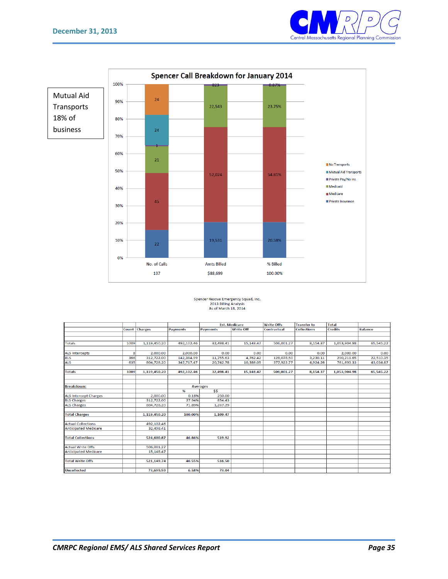



## Spencer Rescue Emergency Squad, Inc.<br>2013 Billing Analysis<br>As of March 18, 2014

|                              |      |               |                 | <b>Est. Medicare</b> |                  | <b>Write Offs</b> | <b>Transfer to</b> | <b>Total</b>   |                |
|------------------------------|------|---------------|-----------------|----------------------|------------------|-------------------|--------------------|----------------|----------------|
|                              |      | Count Charges | <b>Payments</b> | <b>Payments</b>      | <b>Write Off</b> | Contractual       | <b>Collections</b> | <b>Credits</b> | <b>Balance</b> |
|                              |      |               |                 |                      |                  |                   |                    |                |                |
|                              |      |               |                 |                      |                  |                   |                    |                |                |
| <b>Totals</b>                | 1009 | 1.119.450.20  | 492.102.46      | 32,498.41            | 15.148.47        | 506,001.27        | 8,154.37           | 1.053.904.98   | 65,545.22      |
| <b>ALS Intercepts</b>        | 8    | 2,000.00      | 2,000.00        | 0.00                 | 0.00             | 0.00              | 0.00               | 2,000.00       | 0.00           |
| <b>BLS</b>                   | 366  | 312,722.00    | 142,384.99      | 11,755.63            | 4,762.42         | 128,078.50        | 3,230.11           | 290,211.65     | 22,510.35      |
| <b>ALS</b>                   | 635  | 804,728.20    | 347,717.47      | 20,742.78            | 10,386.05        | 377,922.77        | 4,924.26           | 761,693.33     | 43,034.87      |
| <b>Totals</b>                | 1009 | 1,119,450.20  | 492,102.46      | 32,498.41            | 15,148.47        | 506,001.27        | 8,154.37           | 1,053,904.98   | 65,545.22      |
|                              |      |               |                 |                      |                  |                   |                    |                |                |
| <b>Breakdown:</b>            |      |               |                 | <b>Averages</b>      |                  |                   |                    |                |                |
|                              |      |               | %               | \$5                  |                  |                   |                    |                |                |
| <b>ALS Intercept Charges</b> |      | 2,000.00      | 0.18%           | 250.00               |                  |                   |                    |                |                |
| <b>BLS Charges</b>           |      | 312.722.00    | 27.94%          | 854.43               |                  |                   |                    |                |                |
| <b>ALS Charges</b>           |      | 804,728.20    | 71.89%          | 1,267.29             |                  |                   |                    |                |                |
| <b>Total Charges</b>         |      | 1,119,450.20  | 100.00%         | 1,109.47             |                  |                   |                    |                |                |
| <b>Actual Collections</b>    |      | 492,102.46    |                 |                      |                  |                   |                    |                |                |
| <b>Anticipated Medicare</b>  |      | 32.498.41     |                 |                      |                  |                   |                    |                |                |
| <b>Total Collections</b>     |      | 524.600.87    | 46.86%          | 519.92               |                  |                   |                    |                |                |
| <b>Actual Write Offs</b>     |      | 506,001.27    |                 |                      |                  |                   |                    |                |                |
| <b>Anticipated Medicare</b>  |      | 15,148.47     |                 |                      |                  |                   |                    |                |                |
|                              |      |               |                 |                      |                  |                   |                    |                |                |
| <b>Total Write Offs</b>      |      | 521,149.74    | 46.55%          | 516.50               |                  |                   |                    |                |                |
| <b>Uncollected</b>           |      | 73.699.59     | 6.58%           | 73.04                |                  |                   |                    |                |                |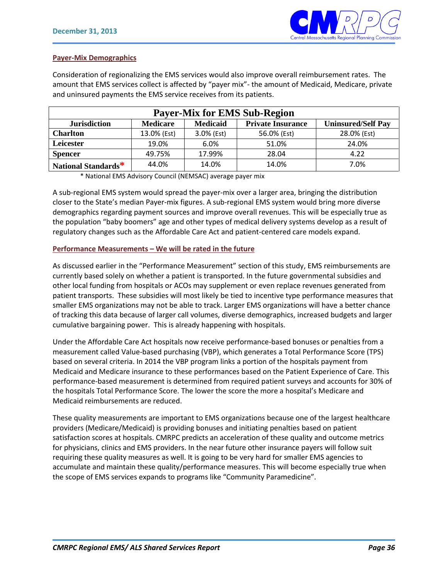

#### **Payer-Mix Demographics**

Consideration of regionalizing the EMS services would also improve overall reimbursement rates. The amount that EMS services collect is affected by "payer mix"- the amount of Medicaid, Medicare, private and uninsured payments the EMS service receives from its patients.

| <b>Payer-Mix for EMS Sub-Region</b> |                                                                                             |            |             |             |  |  |  |  |  |
|-------------------------------------|---------------------------------------------------------------------------------------------|------------|-------------|-------------|--|--|--|--|--|
| <b>Jurisdiction</b>                 | <b>Private Insurance</b><br><b>Medicaid</b><br><b>Uninsured/Self Pay</b><br><b>Medicare</b> |            |             |             |  |  |  |  |  |
| <b>Charlton</b>                     | 13.0% (Est)                                                                                 | 3.0% (Est) | 56.0% (Est) | 28.0% (Est) |  |  |  |  |  |
| Leicester                           | 19.0%                                                                                       | 6.0%       | 51.0%       | 24.0%       |  |  |  |  |  |
| <b>Spencer</b>                      | 49.75%                                                                                      | 17.99%     | 28.04       | 4.22        |  |  |  |  |  |
| National Standards*                 | 44.0%                                                                                       | 14.0%      | 14.0%       | 7.0%        |  |  |  |  |  |

\* National EMS Advisory Council (NEMSAC) average payer mix

A sub-regional EMS system would spread the payer-mix over a larger area, bringing the distribution closer to the State's median Payer-mix figures. A sub-regional EMS system would bring more diverse demographics regarding payment sources and improve overall revenues. This will be especially true as the population "baby boomers" age and other types of medical delivery systems develop as a result of regulatory changes such as the Affordable Care Act and patient-centered care models expand.

#### **Performance Measurements – We will be rated in the future**

As discussed earlier in the "Performance Measurement" section of this study, EMS reimbursements are currently based solely on whether a patient is transported. In the future governmental subsidies and other local funding from hospitals or ACOs may supplement or even replace revenues generated from patient transports. These subsidies will most likely be tied to incentive type performance measures that smaller EMS organizations may not be able to track. Larger EMS organizations will have a better chance of tracking this data because of larger call volumes, diverse demographics, increased budgets and larger cumulative bargaining power. This is already happening with hospitals.

Under the Affordable Care Act hospitals now receive performance-based bonuses or penalties from a measurement called Value-based purchasing (VBP), which generates a Total Performance Score (TPS) based on several criteria. In 2014 the VBP program links a portion of the hospitals payment from Medicaid and Medicare insurance to these performances based on the Patient Experience of Care. This performance-based measurement is determined from required patient surveys and accounts for 30% of the hospitals Total Performance Score. The lower the score the more a hospital's Medicare and Medicaid reimbursements are reduced.

These quality measurements are important to EMS organizations because one of the largest healthcare providers (Medicare/Medicaid) is providing bonuses and initiating penalties based on patient satisfaction scores at hospitals. CMRPC predicts an acceleration of these quality and outcome metrics for physicians, clinics and EMS providers. In the near future other insurance payers will follow suit requiring these quality measures as well. It is going to be very hard for smaller EMS agencies to accumulate and maintain these quality/performance measures. This will become especially true when the scope of EMS services expands to programs like "Community Paramedicine".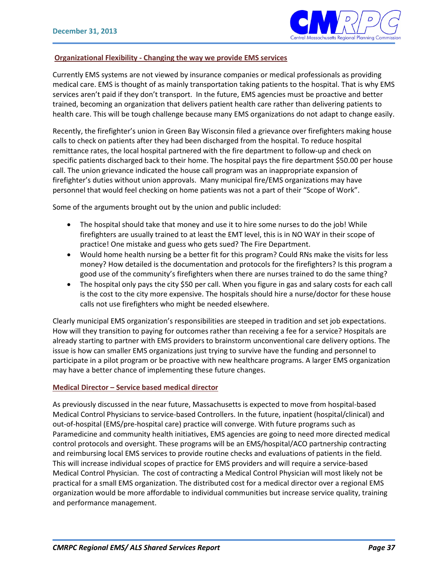

#### **Organizational Flexibility - Changing the way we provide EMS services**

Currently EMS systems are not viewed by insurance companies or medical professionals as providing medical care. EMS is thought of as mainly transportation taking patients to the hospital. That is why EMS services aren't paid if they don't transport. In the future, EMS agencies must be proactive and better trained, becoming an organization that delivers patient health care rather than delivering patients to health care. This will be tough challenge because many EMS organizations do not adapt to change easily.

Recently, the firefighter's union in Green Bay Wisconsin filed a grievance over firefighters making house calls to check on patients after they had been discharged from the hospital. To reduce hospital remittance rates, the local hospital partnered with the fire department to follow-up and check on specific patients discharged back to their home. The hospital pays the fire department \$50.00 per house call. The union grievance indicated the house call program was an inappropriate expansion of firefighter's duties without union approvals. Many municipal fire/EMS organizations may have personnel that would feel checking on home patients was not a part of their "Scope of Work".

Some of the arguments brought out by the union and public included:

- The hospital should take that money and use it to hire some nurses to do the job! While firefighters are usually trained to at least the EMT level, this is in NO WAY in their scope of practice! One mistake and guess who gets sued? The Fire Department.
- Would home health nursing be a better fit for this program? Could RNs make the visits for less money? How detailed is the documentation and protocols for the firefighters? Is this program a good use of the community's firefighters when there are nurses trained to do the same thing?
- The hospital only pays the city \$50 per call. When you figure in gas and salary costs for each call is the cost to the city more expensive. The hospitals should hire a nurse/doctor for these house calls not use firefighters who might be needed elsewhere.

Clearly municipal EMS organization's responsibilities are steeped in tradition and set job expectations. How will they transition to paying for outcomes rather than receiving a fee for a service? Hospitals are already starting to partner with EMS providers to brainstorm unconventional care delivery options. The issue is how can smaller EMS organizations just trying to survive have the funding and personnel to participate in a pilot program or be proactive with new healthcare programs. A larger EMS organization may have a better chance of implementing these future changes.

#### **Medical Director – Service based medical director**

As previously discussed in the near future, Massachusetts is expected to move from hospital-based Medical Control Physicians to service-based Controllers. In the future, inpatient (hospital/clinical) and out-of-hospital (EMS/pre-hospital care) practice will converge. With future programs such as Paramedicine and community health initiatives, EMS agencies are going to need more directed medical control protocols and oversight. These programs will be an EMS/hospital/ACO partnership contracting and reimbursing local EMS services to provide routine checks and evaluations of patients in the field. This will increase individual scopes of practice for EMS providers and will require a service-based Medical Control Physician. The cost of contracting a Medical Control Physician will most likely not be practical for a small EMS organization. The distributed cost for a medical director over a regional EMS organization would be more affordable to individual communities but increase service quality, training and performance management.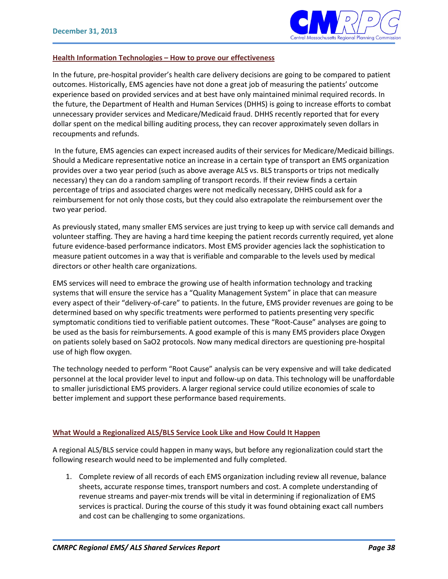

#### **Health Information Technologies – How to prove our effectiveness**

In the future, pre-hospital provider's health care delivery decisions are going to be compared to patient outcomes. Historically, EMS agencies have not done a great job of measuring the patients' outcome experience based on provided services and at best have only maintained minimal required records. In the future, the Department of Health and Human Services (DHHS) is going to increase efforts to combat unnecessary provider services and Medicare/Medicaid fraud. DHHS recently reported that for every dollar spent on the medical billing auditing process, they can recover approximately seven dollars in recoupments and refunds.

In the future, EMS agencies can expect increased audits of their services for Medicare/Medicaid billings. Should a Medicare representative notice an increase in a certain type of transport an EMS organization provides over a two year period (such as above average ALS vs. BLS transports or trips not medically necessary) they can do a random sampling of transport records. If their review finds a certain percentage of trips and associated charges were not medically necessary, DHHS could ask for a reimbursement for not only those costs, but they could also extrapolate the reimbursement over the two year period.

As previously stated, many smaller EMS services are just trying to keep up with service call demands and volunteer staffing. They are having a hard time keeping the patient records currently required, yet alone future evidence-based performance indicators. Most EMS provider agencies lack the sophistication to measure patient outcomes in a way that is verifiable and comparable to the levels used by medical directors or other health care organizations.

EMS services will need to embrace the growing use of health information technology and tracking systems that will ensure the service has a "Quality Management System" in place that can measure every aspect of their "delivery-of-care" to patients. In the future, EMS provider revenues are going to be determined based on why specific treatments were performed to patients presenting very specific symptomatic conditions tied to verifiable patient outcomes. These "Root-Cause" analyses are going to be used as the basis for reimbursements. A good example of this is many EMS providers place Oxygen on patients solely based on SaO2 protocols. Now many medical directors are questioning pre-hospital use of high flow oxygen.

The technology needed to perform "Root Cause" analysis can be very expensive and will take dedicated personnel at the local provider level to input and follow-up on data. This technology will be unaffordable to smaller jurisdictional EMS providers. A larger regional service could utilize economies of scale to better implement and support these performance based requirements.

#### **What Would a Regionalized ALS/BLS Service Look Like and How Could It Happen**

A regional ALS/BLS service could happen in many ways, but before any regionalization could start the following research would need to be implemented and fully completed.

1. Complete review of all records of each EMS organization including review all revenue, balance sheets, accurate response times, transport numbers and cost. A complete understanding of revenue streams and payer-mix trends will be vital in determining if regionalization of EMS services is practical. During the course of this study it was found obtaining exact call numbers and cost can be challenging to some organizations.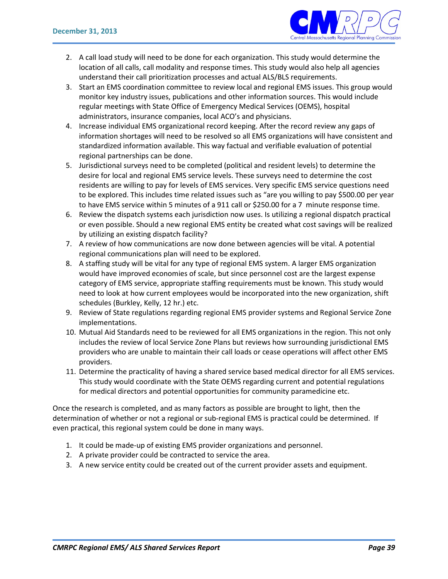

- 2. A call load study will need to be done for each organization. This study would determine the location of all calls, call modality and response times. This study would also help all agencies understand their call prioritization processes and actual ALS/BLS requirements.
- 3. Start an EMS coordination committee to review local and regional EMS issues. This group would monitor key industry issues, publications and other information sources. This would include regular meetings with State Office of Emergency Medical Services (OEMS), hospital administrators, insurance companies, local ACO's and physicians.
- 4. Increase individual EMS organizational record keeping. After the record review any gaps of information shortages will need to be resolved so all EMS organizations will have consistent and standardized information available. This way factual and verifiable evaluation of potential regional partnerships can be done.
- 5. Jurisdictional surveys need to be completed (political and resident levels) to determine the desire for local and regional EMS service levels. These surveys need to determine the cost residents are willing to pay for levels of EMS services. Very specific EMS service questions need to be explored. This includes time related issues such as "are you willing to pay \$500.00 per year to have EMS service within 5 minutes of a 911 call or \$250.00 for a 7 minute response time.
- 6. Review the dispatch systems each jurisdiction now uses. Is utilizing a regional dispatch practical or even possible. Should a new regional EMS entity be created what cost savings will be realized by utilizing an existing dispatch facility?
- 7. A review of how communications are now done between agencies will be vital. A potential regional communications plan will need to be explored.
- 8. A staffing study will be vital for any type of regional EMS system. A larger EMS organization would have improved economies of scale, but since personnel cost are the largest expense category of EMS service, appropriate staffing requirements must be known. This study would need to look at how current employees would be incorporated into the new organization, shift schedules (Burkley, Kelly, 12 hr.) etc.
- 9. Review of State regulations regarding regional EMS provider systems and Regional Service Zone implementations.
- 10. Mutual Aid Standards need to be reviewed for all EMS organizations in the region. This not only includes the review of local Service Zone Plans but reviews how surrounding jurisdictional EMS providers who are unable to maintain their call loads or cease operations will affect other EMS providers.
- 11. Determine the practicality of having a shared service based medical director for all EMS services. This study would coordinate with the State OEMS regarding current and potential regulations for medical directors and potential opportunities for community paramedicine etc.

Once the research is completed, and as many factors as possible are brought to light, then the determination of whether or not a regional or sub-regional EMS is practical could be determined. If even practical, this regional system could be done in many ways.

- 1. It could be made-up of existing EMS provider organizations and personnel.
- 2. A private provider could be contracted to service the area.
- 3. A new service entity could be created out of the current provider assets and equipment.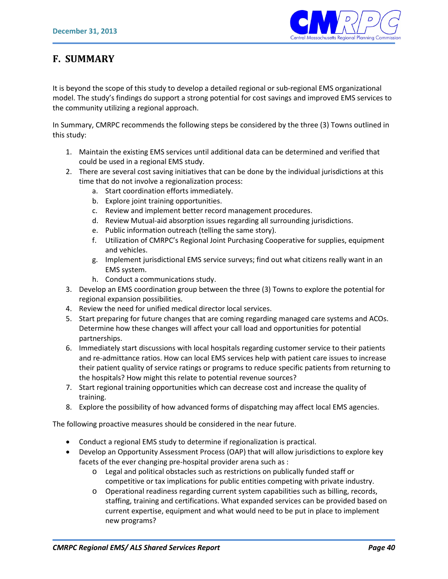

## **F. SUMMARY**

It is beyond the scope of this study to develop a detailed regional or sub-regional EMS organizational model. The study's findings do support a strong potential for cost savings and improved EMS services to the community utilizing a regional approach.

In Summary, CMRPC recommends the following steps be considered by the three (3) Towns outlined in this study:

- 1. Maintain the existing EMS services until additional data can be determined and verified that could be used in a regional EMS study.
- 2. There are several cost saving initiatives that can be done by the individual jurisdictions at this time that do not involve a regionalization process:
	- a. Start coordination efforts immediately.
	- b. Explore joint training opportunities.
	- c. Review and implement better record management procedures.
	- d. Review Mutual-aid absorption issues regarding all surrounding jurisdictions.
	- e. Public information outreach (telling the same story).
	- f. Utilization of CMRPC's Regional Joint Purchasing Cooperative for supplies, equipment and vehicles.
	- g. Implement jurisdictional EMS service surveys; find out what citizens really want in an EMS system.
	- h. Conduct a communications study.
- 3. Develop an EMS coordination group between the three (3) Towns to explore the potential for regional expansion possibilities.
- 4. Review the need for unified medical director local services.
- 5. Start preparing for future changes that are coming regarding managed care systems and ACOs. Determine how these changes will affect your call load and opportunities for potential partnerships.
- 6. Immediately start discussions with local hospitals regarding customer service to their patients and re-admittance ratios. How can local EMS services help with patient care issues to increase their patient quality of service ratings or programs to reduce specific patients from returning to the hospitals? How might this relate to potential revenue sources?
- 7. Start regional training opportunities which can decrease cost and increase the quality of training.
- 8. Explore the possibility of how advanced forms of dispatching may affect local EMS agencies.

The following proactive measures should be considered in the near future.

- Conduct a regional EMS study to determine if regionalization is practical.
- Develop an Opportunity Assessment Process (OAP) that will allow jurisdictions to explore key facets of the ever changing pre-hospital provider arena such as :
	- o Legal and political obstacles such as restrictions on publically funded staff or competitive or tax implications for public entities competing with private industry.
	- o Operational readiness regarding current system capabilities such as billing, records, staffing, training and certifications. What expanded services can be provided based on current expertise, equipment and what would need to be put in place to implement new programs?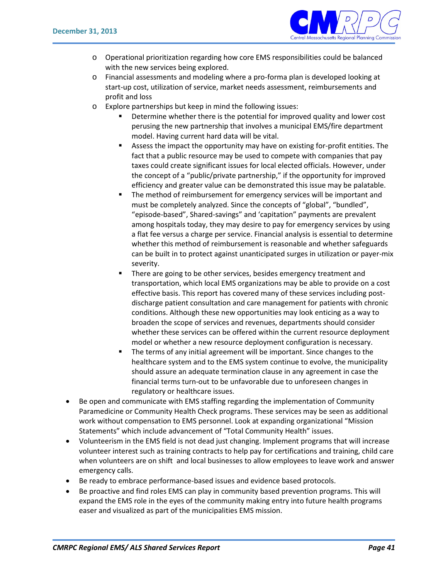

- o Operational prioritization regarding how core EMS responsibilities could be balanced with the new services being explored.
- o Financial assessments and modeling where a pro-forma plan is developed looking at start-up cost, utilization of service, market needs assessment, reimbursements and profit and loss
- o Explore partnerships but keep in mind the following issues:
	- Determine whether there is the potential for improved quality and lower cost perusing the new partnership that involves a municipal EMS/fire department model. Having current hard data will be vital.
	- Assess the impact the opportunity may have on existing for-profit entities. The fact that a public resource may be used to compete with companies that pay taxes could create significant issues for local elected officials. However, under the concept of a "public/private partnership," if the opportunity for improved efficiency and greater value can be demonstrated this issue may be palatable.
	- The method of reimbursement for emergency services will be important and must be completely analyzed. Since the concepts of "global", "bundled", "episode-based", Shared-savings" and 'capitation" payments are prevalent among hospitals today, they may desire to pay for emergency services by using a flat fee versus a charge per service. Financial analysis is essential to determine whether this method of reimbursement is reasonable and whether safeguards can be built in to protect against unanticipated surges in utilization or payer-mix severity.
	- There are going to be other services, besides emergency treatment and transportation, which local EMS organizations may be able to provide on a cost effective basis. This report has covered many of these services including postdischarge patient consultation and care management for patients with chronic conditions. Although these new opportunities may look enticing as a way to broaden the scope of services and revenues, departments should consider whether these services can be offered within the current resource deployment model or whether a new resource deployment configuration is necessary.
	- The terms of any initial agreement will be important. Since changes to the healthcare system and to the EMS system continue to evolve, the municipality should assure an adequate termination clause in any agreement in case the financial terms turn-out to be unfavorable due to unforeseen changes in regulatory or healthcare issues.
- Be open and communicate with EMS staffing regarding the implementation of Community Paramedicine or Community Health Check programs. These services may be seen as additional work without compensation to EMS personnel. Look at expanding organizational "Mission Statements" which include advancement of "Total Community Health" issues.
- Volunteerism in the EMS field is not dead just changing. Implement programs that will increase volunteer interest such as training contracts to help pay for certifications and training, child care when volunteers are on shift and local businesses to allow employees to leave work and answer emergency calls.
- Be ready to embrace performance-based issues and evidence based protocols.
- Be proactive and find roles EMS can play in community based prevention programs. This will expand the EMS role in the eyes of the community making entry into future health programs easer and visualized as part of the municipalities EMS mission.